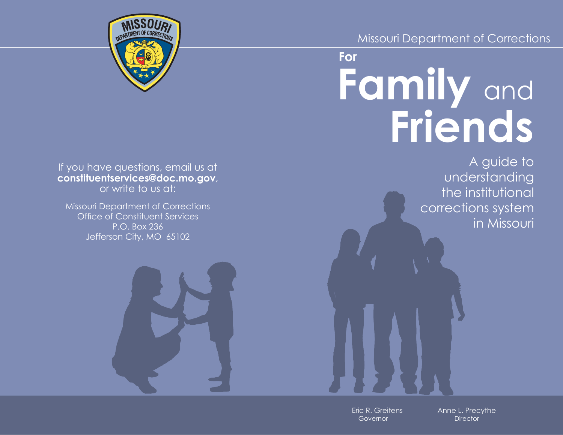# Missouri Department of Corrections

# **Family** and **Friends For**

A guide to understanding the institutional corrections system in Missouri

Eric R. Greitens Governor

Anne L. Precythe **Director**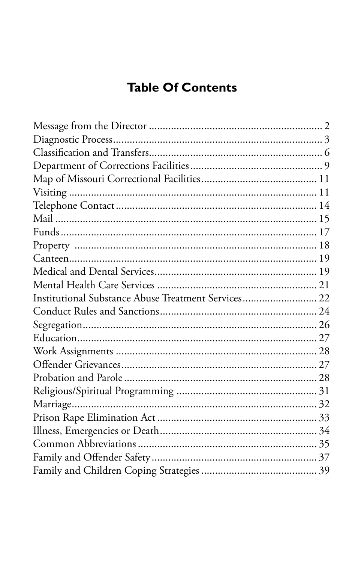# **Table Of Contents**

| Institutional Substance Abuse Treatment Services 22 |  |
|-----------------------------------------------------|--|
|                                                     |  |
|                                                     |  |
|                                                     |  |
|                                                     |  |
|                                                     |  |
|                                                     |  |
|                                                     |  |
|                                                     |  |
|                                                     |  |
|                                                     |  |
|                                                     |  |
|                                                     |  |
|                                                     |  |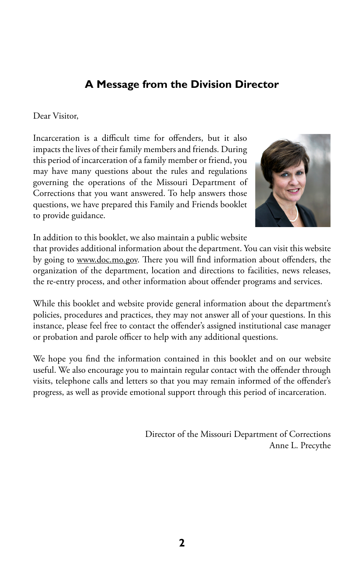# **A Message from the Division Director**

#### Dear Visitor,

Incarceration is a difficult time for offenders, but it also impacts the lives of their family members and friends. During this period of incarceration of a family member or friend, you may have many questions about the rules and regulations governing the operations of the Missouri Department of Corrections that you want answered. To help answers those questions, we have prepared this Family and Friends booklet to provide guidance.



In addition to this booklet, we also maintain a public website

that provides additional information about the department. You can visit this website by going to [www.doc.mo.gov.](www.doc.mo.gov) There you will find information about offenders, the organization of the department, location and directions to facilities, news releases, the re-entry process, and other information about offender programs and services.

While this booklet and website provide general information about the department's policies, procedures and practices, they may not answer all of your questions. In this instance, please feel free to contact the offender's assigned institutional case manager or probation and parole officer to help with any additional questions.

We hope you find the information contained in this booklet and on our website useful. We also encourage you to maintain regular contact with the offender through visits, telephone calls and letters so that you may remain informed of the offender's progress, as well as provide emotional support through this period of incarceration.

> Director of the Missouri Department of Corrections Anne L. Precythe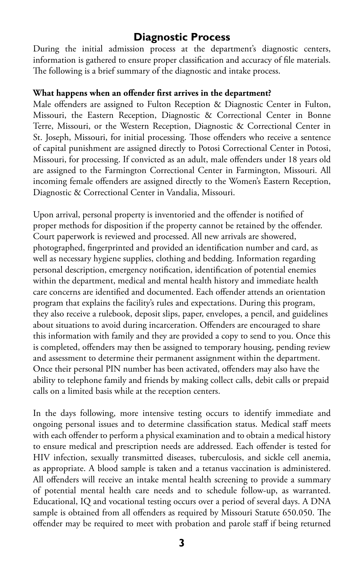# **Diagnostic Process**

During the initial admission process at the department's diagnostic centers, information is gathered to ensure proper classification and accuracy of file materials. The following is a brief summary of the diagnostic and intake process.

#### **What happens when an offender first arrives in the department?**

Male offenders are assigned to Fulton Reception & Diagnostic Center in Fulton, Missouri, the Eastern Reception, Diagnostic & Correctional Center in Bonne Terre, Missouri, or the Western Reception, Diagnostic & Correctional Center in St. Joseph, Missouri, for initial processing. Those offenders who receive a sentence of capital punishment are assigned directly to Potosi Correctional Center in Potosi, Missouri, for processing. If convicted as an adult, male offenders under 18 years old are assigned to the Farmington Correctional Center in Farmington, Missouri. All incoming female offenders are assigned directly to the Women's Eastern Reception, Diagnostic & Correctional Center in Vandalia, Missouri.

Upon arrival, personal property is inventoried and the offender is notified of proper methods for disposition if the property cannot be retained by the offender. Court paperwork is reviewed and processed. All new arrivals are showered, photographed, fingerprinted and provided an identification number and card, as well as necessary hygiene supplies, clothing and bedding. Information regarding personal description, emergency notification, identification of potential enemies within the department, medical and mental health history and immediate health care concerns are identified and documented. Each offender attends an orientation program that explains the facility's rules and expectations. During this program, they also receive a rulebook, deposit slips, paper, envelopes, a pencil, and guidelines about situations to avoid during incarceration. Offenders are encouraged to share this information with family and they are provided a copy to send to you. Once this is completed, offenders may then be assigned to temporary housing, pending review and assessment to determine their permanent assignment within the department. Once their personal PIN number has been activated, offenders may also have the ability to telephone family and friends by making collect calls, debit calls or prepaid calls on a limited basis while at the reception centers.

In the days following, more intensive testing occurs to identify immediate and ongoing personal issues and to determine classification status. Medical staff meets with each offender to perform a physical examination and to obtain a medical history to ensure medical and prescription needs are addressed. Each offender is tested for HIV infection, sexually transmitted diseases, tuberculosis, and sickle cell anemia, as appropriate. A blood sample is taken and a tetanus vaccination is administered. All offenders will receive an intake mental health screening to provide a summary of potential mental health care needs and to schedule follow-up, as warranted. Educational, IQ and vocational testing occurs over a period of several days. A DNA sample is obtained from all offenders as required by Missouri Statute 650.050. The offender may be required to meet with probation and parole staff if being returned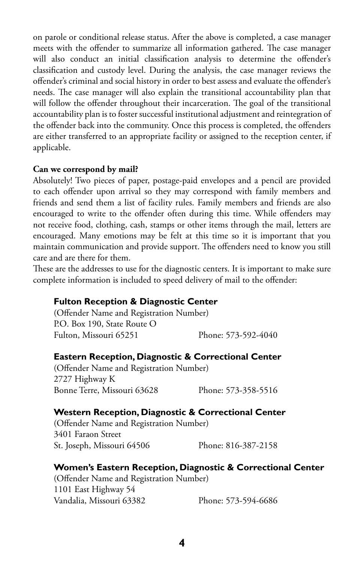on parole or conditional release status. After the above is completed, a case manager meets with the offender to summarize all information gathered. The case manager will also conduct an initial classification analysis to determine the offender's classification and custody level. During the analysis, the case manager reviews the offender's criminal and social history in order to best assess and evaluate the offender's needs. The case manager will also explain the transitional accountability plan that will follow the offender throughout their incarceration. The goal of the transitional accountability plan is to foster successful institutional adjustment and reintegration of the offender back into the community. Once this process is completed, the offenders are either transferred to an appropriate facility or assigned to the reception center, if applicable.

#### **Can we correspond by mail?**

Absolutely! Two pieces of paper, postage-paid envelopes and a pencil are provided to each offender upon arrival so they may correspond with family members and friends and send them a list of facility rules. Family members and friends are also encouraged to write to the offender often during this time. While offenders may not receive food, clothing, cash, stamps or other items through the mail, letters are encouraged. Many emotions may be felt at this time so it is important that you maintain communication and provide support. The offenders need to know you still care and are there for them.

These are the addresses to use for the diagnostic centers. It is important to make sure complete information is included to speed delivery of mail to the offender:

#### **Fulton Reception & Diagnostic Center**

(Offender Name and Registration Number) P.O. Box 190, State Route O Fulton, Missouri 65251 Phone: 573-592-4040

#### **Eastern Reception, Diagnostic & Correctional Center**

(Offender Name and Registration Number) 2727 Highway K Bonne Terre, Missouri 63628 Phone: 573-358-5516

#### **Western Reception, Diagnostic & Correctional Center**

(Offender Name and Registration Number) 3401 Faraon Street St. Joseph, Missouri 64506 Phone: 816-387-2158

#### **Women's Eastern Reception, Diagnostic & Correctional Center**

(Offender Name and Registration Number) 1101 East Highway 54 Vandalia, Missouri 63382 Phone: 573-594-6686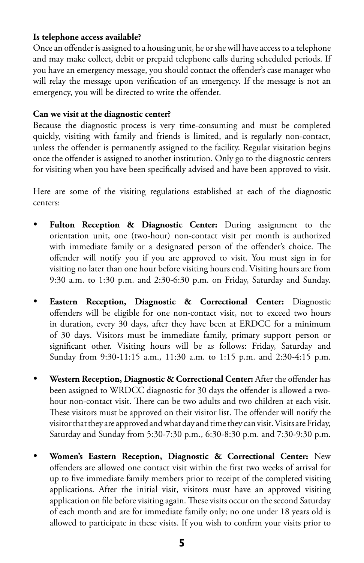#### **Is telephone access available?**

Once an offender is assigned to a housing unit, he or she will have access to a telephone and may make collect, debit or prepaid telephone calls during scheduled periods. If you have an emergency message, you should contact the offender's case manager who will relay the message upon verification of an emergency. If the message is not an emergency, you will be directed to write the offender.

#### **Can we visit at the diagnostic center?**

Because the diagnostic process is very time-consuming and must be completed quickly, visiting with family and friends is limited, and is regularly non-contact, unless the offender is permanently assigned to the facility. Regular visitation begins once the offender is assigned to another institution. Only go to the diagnostic centers for visiting when you have been specifically advised and have been approved to visit.

Here are some of the visiting regulations established at each of the diagnostic centers:

- **Fulton Reception & Diagnostic Center:** During assignment to the orientation unit, one (two-hour) non-contact visit per month is authorized with immediate family or a designated person of the offender's choice. The offender will notify you if you are approved to visit. You must sign in for visiting no later than one hour before visiting hours end. Visiting hours are from 9:30 a.m. to 1:30 p.m. and 2:30-6:30 p.m. on Friday, Saturday and Sunday.
- **Eastern Reception, Diagnostic & Correctional Center:** Diagnostic offenders will be eligible for one non-contact visit, not to exceed two hours in duration, every 30 days, after they have been at ERDCC for a minimum of 30 days. Visitors must be immediate family, primary support person or significant other. Visiting hours will be as follows: Friday, Saturday and Sunday from 9:30-11:15 a.m., 11:30 a.m. to 1:15 p.m. and 2:30-4:15 p.m.
- **Western Reception, Diagnostic & Correctional Center:** After the offender has been assigned to WRDCC diagnostic for 30 days the offender is allowed a twohour non-contact visit. There can be two adults and two children at each visit. These visitors must be approved on their visitor list. The offender will notify the visitor that they are approved and what day and time they can visit. Visits are Friday, Saturday and Sunday from 5:30-7:30 p.m., 6:30-8:30 p.m. and 7:30-9:30 p.m.
- **Women's Eastern Reception, Diagnostic & Correctional Center:** New offenders are allowed one contact visit within the first two weeks of arrival for up to five immediate family members prior to receipt of the completed visiting applications. After the initial visit, visitors must have an approved visiting application on file before visiting again. These visits occur on the second Saturday of each month and are for immediate family only; no one under 18 years old is allowed to participate in these visits. If you wish to confirm your visits prior to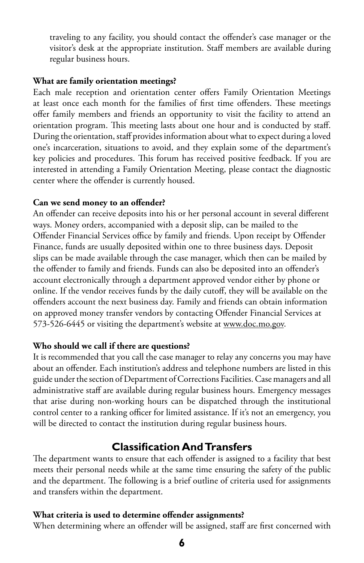traveling to any facility, you should contact the offender's case manager or the visitor's desk at the appropriate institution. Staff members are available during regular business hours.

#### **What are family orientation meetings?**

Each male reception and orientation center offers Family Orientation Meetings at least once each month for the families of first time offenders. These meetings offer family members and friends an opportunity to visit the facility to attend an orientation program. This meeting lasts about one hour and is conducted by staff. During the orientation, staff provides information about what to expect during a loved one's incarceration, situations to avoid, and they explain some of the department's key policies and procedures. This forum has received positive feedback. If you are interested in attending a Family Orientation Meeting, please contact the diagnostic center where the offender is currently housed.

#### **Can we send money to an offender?**

An offender can receive deposits into his or her personal account in several different ways. Money orders, accompanied with a deposit slip, can be mailed to the Offender Financial Services office by family and friends. Upon receipt by Offender Finance, funds are usually deposited within one to three business days. Deposit slips can be made available through the case manager, which then can be mailed by the offender to family and friends. Funds can also be deposited into an offender's account electronically through a department approved vendor either by phone or online. If the vendor receives funds by the daily cutoff, they will be available on the offenders account the next business day. Family and friends can obtain information on approved money transfer vendors by contacting Offender Financial Services at 573-526-6445 or visiting the department's website at [www.doc.mo.gov.](www.doc.mo.gov)

#### **Who should we call if there are questions?**

It is recommended that you call the case manager to relay any concerns you may have about an offender. Each institution's address and telephone numbers are listed in this guide under the section of Department of Corrections Facilities. Case managers and all administrative staff are available during regular business hours. Emergency messages that arise during non-working hours can be dispatched through the institutional control center to a ranking officer for limited assistance. If it's not an emergency, you will be directed to contact the institution during regular business hours.

## **Classification And Transfers**

The department wants to ensure that each offender is assigned to a facility that best meets their personal needs while at the same time ensuring the safety of the public and the department. The following is a brief outline of criteria used for assignments and transfers within the department.

#### **What criteria is used to determine offender assignments?**

When determining where an offender will be assigned, staff are first concerned with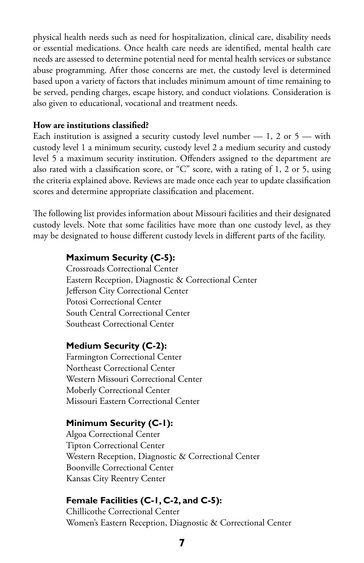physical health needs such as need for hospitalization, clinical care, disability needs or essential medications. Once health care needs are identified, mental health care needs are assessed to determine potential need for mental health services or substance abuse programming. After those concerns are met, the custody level is determined based upon a variety of factors that includes minimum amount of time remaining to be served, pending charges, escape history, and conduct violations. Consideration is also given to educational, vocational and treatment needs.

#### **How are institutions classified?**

Each institution is assigned a security custody level number  $-1$ , 2 or 5  $-$  with custody level 1 a minimum security, custody level 2 a medium security and custody level 5 a maximum security institution. Offenders assigned to the department are also rated with a classification score, or "C" score, with a rating of 1, 2 or 5, using the criteria explained above. Reviews are made once each year to update classification scores and determine appropriate classification and placement.

The following list provides information about Missouri facilities and their designated custody levels. Note that some facilities have more than one custody level, as they may be designated to house different custody levels in different parts of the facility.

#### **Maximum Security (C-5):**

Crossroads Correctional Center Eastern Reception, Diagnostic & Correctional Center Jefferson City Correctional Center Potosi Correctional Center South Central Correctional Center Southeast Correctional Center

#### **Medium Security (C-2):**

Farmington Correctional Center Northeast Correctional Center Western Missouri Correctional Center Moberly Correctional Center Missouri Eastern Correctional Center

#### **Minimum Security (C-1):**

Algoa Correctional Center Tipton Correctional Center Western Reception, Diagnostic & Correctional Center Boonville Correctional Center Kansas City Reentry Center

#### **Female Facilities (C-1, C-2, and C-5):**

Chillicothe Correctional Center Women's Eastern Reception, Diagnostic & Correctional Center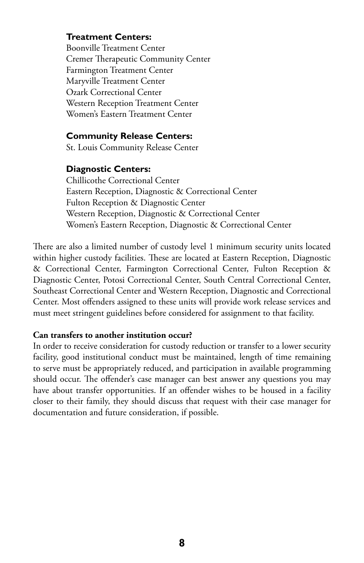#### **Treatment Centers:**

Boonville Treatment Center Cremer Therapeutic Community Center Farmington Treatment Center Maryville Treatment Center Ozark Correctional Center Western Reception Treatment Center Women's Eastern Treatment Center

#### **Community Release Centers:**

St. Louis Community Release Center

#### **Diagnostic Centers:**

Chillicothe Correctional Center Eastern Reception, Diagnostic & Correctional Center Fulton Reception & Diagnostic Center Western Reception, Diagnostic & Correctional Center Women's Eastern Reception, Diagnostic & Correctional Center

There are also a limited number of custody level 1 minimum security units located within higher custody facilities. These are located at Eastern Reception, Diagnostic & Correctional Center, Farmington Correctional Center, Fulton Reception & Diagnostic Center, Potosi Correctional Center, South Central Correctional Center, Southeast Correctional Center and Western Reception, Diagnostic and Correctional Center. Most offenders assigned to these units will provide work release services and must meet stringent guidelines before considered for assignment to that facility.

#### **Can transfers to another institution occur?**

In order to receive consideration for custody reduction or transfer to a lower security facility, good institutional conduct must be maintained, length of time remaining to serve must be appropriately reduced, and participation in available programming should occur. The offender's case manager can best answer any questions you may have about transfer opportunities. If an offender wishes to be housed in a facility closer to their family, they should discuss that request with their case manager for documentation and future consideration, if possible.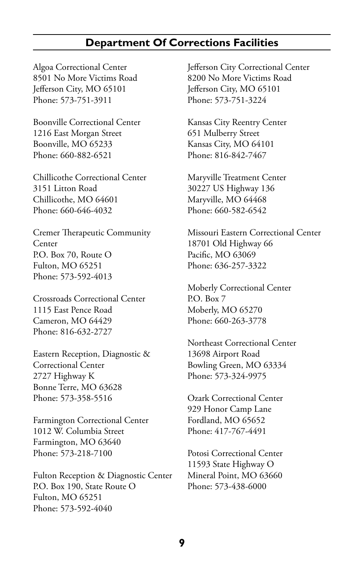## **Department Of Corrections Facilities**

Algoa Correctional Center 8501 No More Victims Road Jefferson City, MO 65101 Phone: 573-751-3911

Boonville Correctional Center 1216 East Morgan Street Boonville, MO 65233 Phone: 660-882-6521

Chillicothe Correctional Center 3151 Litton Road Chillicothe, MO 64601 Phone: 660-646-4032

Cremer Therapeutic Community Center P.O. Box 70, Route O Fulton, MO 65251 Phone: 573-592-4013

Crossroads Correctional Center 1115 East Pence Road Cameron, MO 64429 Phone: 816-632-2727

Eastern Reception, Diagnostic & Correctional Center 2727 Highway K Bonne Terre, MO 63628 Phone: 573-358-5516

Farmington Correctional Center 1012 W. Columbia Street Farmington, MO 63640 Phone: 573-218-7100

Fulton Reception & Diagnostic Center P.O. Box 190, State Route O Fulton, MO 65251 Phone: 573-592-4040

Jefferson City Correctional Center 8200 No More Victims Road Jefferson City, MO 65101 Phone: 573-751-3224

Kansas City Reentry Center 651 Mulberry Street Kansas City, MO 64101 Phone: 816-842-7467

Maryville Treatment Center 30227 US Highway 136 Maryville, MO 64468 Phone: 660-582-6542

Missouri Eastern Correctional Center 18701 Old Highway 66 Pacific, MO 63069 Phone: 636-257-3322

Moberly Correctional Center P.O. Box 7 Moberly, MO 65270 Phone: 660-263-3778

Northeast Correctional Center 13698 Airport Road Bowling Green, MO 63334 Phone: 573-324-9975

Ozark Correctional Center 929 Honor Camp Lane Fordland, MO 65652 Phone: 417-767-4491

Potosi Correctional Center 11593 State Highway O Mineral Point, MO 63660 Phone: 573-438-6000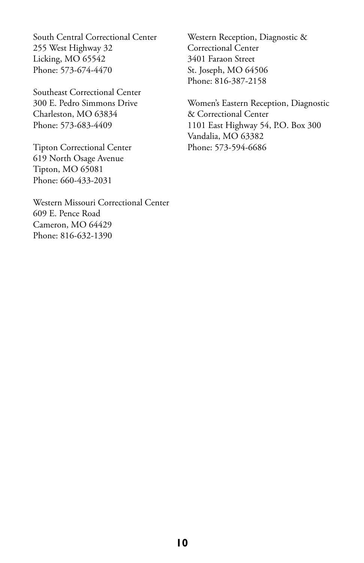South Central Correctional Center 255 West Highway 32 Licking, MO 65542 Phone: 573-674-4470

Southeast Correctional Center 300 E. Pedro Simmons Drive Charleston, MO 63834 Phone: 573-683-4409

Tipton Correctional Center 619 North Osage Avenue Tipton, MO 65081 Phone: 660-433-2031

Western Missouri Correctional Center 609 E. Pence Road Cameron, MO 64429 Phone: 816-632-1390

Western Reception, Diagnostic & Correctional Center 3401 Faraon Street St. Joseph, MO 64506 Phone: 816-387-2158

Women's Eastern Reception, Diagnostic & Correctional Center 1101 East Highway 54, P.O. Box 300 Vandalia, MO 63382 Phone: 573-594-6686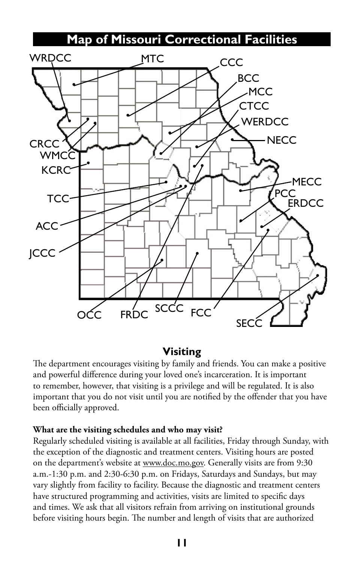# **Map of Missouri Correctional Facilities**



## **Visiting**

The department encourages visiting by family and friends. You can make a positive and powerful difference during your loved one's incarceration. It is important to remember, however, that visiting is a privilege and will be regulated. It is also important that you do not visit until you are notified by the offender that you have been officially approved.

#### **What are the visiting schedules and who may visit?**

Regularly scheduled visiting is available at all facilities, Friday through Sunday, with the exception of the diagnostic and treatment centers. Visiting hours are posted on the department's website at <www.doc.mo.gov>. Generally visits are from 9:30 a.m.-1:30 p.m. and 2:30-6:30 p.m. on Fridays, Saturdays and Sundays, but may vary slightly from facility to facility. Because the diagnostic and treatment centers have structured programming and activities, visits are limited to specific days and times. We ask that all visitors refrain from arriving on institutional grounds before visiting hours begin. The number and length of visits that are authorized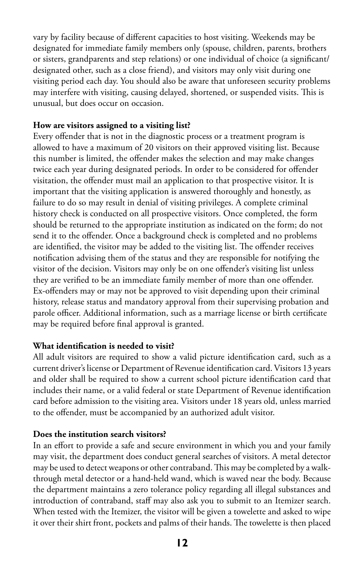vary by facility because of different capacities to host visiting. Weekends may be designated for immediate family members only (spouse, children, parents, brothers or sisters, grandparents and step relations) or one individual of choice (a significant/ designated other, such as a close friend), and visitors may only visit during one visiting period each day. You should also be aware that unforeseen security problems may interfere with visiting, causing delayed, shortened, or suspended visits. This is unusual, but does occur on occasion.

#### **How are visitors assigned to a visiting list?**

Every offender that is not in the diagnostic process or a treatment program is allowed to have a maximum of 20 visitors on their approved visiting list. Because this number is limited, the offender makes the selection and may make changes twice each year during designated periods. In order to be considered for offender visitation, the offender must mail an application to that prospective visitor. It is important that the visiting application is answered thoroughly and honestly, as failure to do so may result in denial of visiting privileges. A complete criminal history check is conducted on all prospective visitors. Once completed, the form should be returned to the appropriate institution as indicated on the form; do not send it to the offender. Once a background check is completed and no problems are identified, the visitor may be added to the visiting list. The offender receives notification advising them of the status and they are responsible for notifying the visitor of the decision. Visitors may only be on one offender's visiting list unless they are verified to be an immediate family member of more than one offender. Ex-offenders may or may not be approved to visit depending upon their criminal history, release status and mandatory approval from their supervising probation and parole officer. Additional information, such as a marriage license or birth certificate may be required before final approval is granted.

#### **What identification is needed to visit?**

All adult visitors are required to show a valid picture identification card, such as a current driver's license or Department of Revenue identification card. Visitors 13 years and older shall be required to show a current school picture identification card that includes their name, or a valid federal or state Department of Revenue identification card before admission to the visiting area. Visitors under 18 years old, unless married to the offender, must be accompanied by an authorized adult visitor.

#### **Does the institution search visitors?**

In an effort to provide a safe and secure environment in which you and your family may visit, the department does conduct general searches of visitors. A metal detector may be used to detect weapons or other contraband. This may be completed by a walkthrough metal detector or a hand-held wand, which is waved near the body. Because the department maintains a zero tolerance policy regarding all illegal substances and introduction of contraband, staff may also ask you to submit to an Itemizer search. When tested with the Itemizer, the visitor will be given a towelette and asked to wipe it over their shirt front, pockets and palms of their hands. The towelette is then placed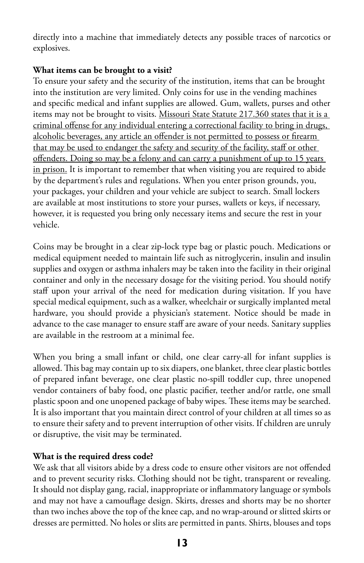directly into a machine that immediately detects any possible traces of narcotics or explosives.

#### **What items can be brought to a visit?**

To ensure your safety and the security of the institution, items that can be brought into the institution are very limited. Only coins for use in the vending machines and specific medical and infant supplies are allowed. Gum, wallets, purses and other items may not be brought to visits. Missouri State Statute 217.360 states that it is a criminal offense for any individual entering a correctional facility to bring in drugs, alcoholic beverages, any article an offender is not permitted to possess or firearm that may be used to endanger the safety and security of the facility, staff or other offenders. Doing so may be a felony and can carry a punishment of up to 15 years in prison. It is important to remember that when visiting you are required to abide by the department's rules and regulations. When you enter prison grounds, you, your packages, your children and your vehicle are subject to search. Small lockers are available at most institutions to store your purses, wallets or keys, if necessary, however, it is requested you bring only necessary items and secure the rest in your vehicle.

Coins may be brought in a clear zip-lock type bag or plastic pouch. Medications or medical equipment needed to maintain life such as nitroglycerin, insulin and insulin supplies and oxygen or asthma inhalers may be taken into the facility in their original container and only in the necessary dosage for the visiting period. You should notify staff upon your arrival of the need for medication during visitation. If you have special medical equipment, such as a walker, wheelchair or surgically implanted metal hardware, you should provide a physician's statement. Notice should be made in advance to the case manager to ensure staff are aware of your needs. Sanitary supplies are available in the restroom at a minimal fee.

When you bring a small infant or child, one clear carry-all for infant supplies is allowed. This bag may contain up to six diapers, one blanket, three clear plastic bottles of prepared infant beverage, one clear plastic no-spill toddler cup, three unopened vendor containers of baby food, one plastic pacifier, teether and/or rattle, one small plastic spoon and one unopened package of baby wipes. These items may be searched. It is also important that you maintain direct control of your children at all times so as to ensure their safety and to prevent interruption of other visits. If children are unruly or disruptive, the visit may be terminated.

#### **What is the required dress code?**

We ask that all visitors abide by a dress code to ensure other visitors are not offended and to prevent security risks. Clothing should not be tight, transparent or revealing. It should not display gang, racial, inappropriate or inflammatory language or symbols and may not have a camouflage design. Skirts, dresses and shorts may be no shorter than two inches above the top of the knee cap, and no wrap-around or slitted skirts or dresses are permitted. No holes or slits are permitted in pants. Shirts, blouses and tops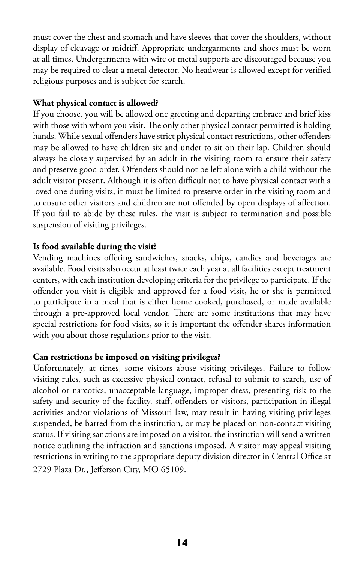must cover the chest and stomach and have sleeves that cover the shoulders, without display of cleavage or midriff. Appropriate undergarments and shoes must be worn at all times. Undergarments with wire or metal supports are discouraged because you may be required to clear a metal detector. No headwear is allowed except for verified religious purposes and is subject for search.

#### **What physical contact is allowed?**

If you choose, you will be allowed one greeting and departing embrace and brief kiss with those with whom you visit. The only other physical contact permitted is holding hands. While sexual offenders have strict physical contact restrictions, other offenders may be allowed to have children six and under to sit on their lap. Children should always be closely supervised by an adult in the visiting room to ensure their safety and preserve good order. Offenders should not be left alone with a child without the adult visitor present. Although it is often difficult not to have physical contact with a loved one during visits, it must be limited to preserve order in the visiting room and to ensure other visitors and children are not offended by open displays of affection. If you fail to abide by these rules, the visit is subject to termination and possible suspension of visiting privileges.

#### **Is food available during the visit?**

Vending machines offering sandwiches, snacks, chips, candies and beverages are available. Food visits also occur at least twice each year at all facilities except treatment centers, with each institution developing criteria for the privilege to participate. If the offender you visit is eligible and approved for a food visit, he or she is permitted to participate in a meal that is either home cooked, purchased, or made available through a pre-approved local vendor. There are some institutions that may have special restrictions for food visits, so it is important the offender shares information with you about those regulations prior to the visit.

#### **Can restrictions be imposed on visiting privileges?**

Unfortunately, at times, some visitors abuse visiting privileges. Failure to follow visiting rules, such as excessive physical contact, refusal to submit to search, use of alcohol or narcotics, unacceptable language, improper dress, presenting risk to the safety and security of the facility, staff, offenders or visitors, participation in illegal activities and/or violations of Missouri law, may result in having visiting privileges suspended, be barred from the institution, or may be placed on non-contact visiting status. If visiting sanctions are imposed on a visitor, the institution will send a written notice outlining the infraction and sanctions imposed. A visitor may appeal visiting restrictions in writing to the appropriate deputy division director in Central Office at 2729 Plaza Dr., Jefferson City, MO 65109.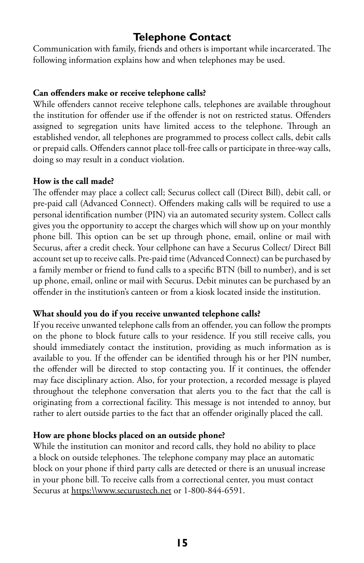# **Telephone Contact**

Communication with family, friends and others is important while incarcerated. The following information explains how and when telephones may be used.

#### **Can offenders make or receive telephone calls?**

While offenders cannot receive telephone calls, telephones are available throughout the institution for offender use if the offender is not on restricted status. Offenders assigned to segregation units have limited access to the telephone. Through an established vendor, all telephones are programmed to process collect calls, debit calls or prepaid calls. Offenders cannot place toll-free calls or participate in three-way calls, doing so may result in a conduct violation.

#### **How is the call made?**

The offender may place a collect call; Securus collect call (Direct Bill), debit call, or pre-paid call (Advanced Connect). Offenders making calls will be required to use a personal identification number (PIN) via an automated security system. Collect calls gives you the opportunity to accept the charges which will show up on your monthly phone bill. This option can be set up through phone, email, online or mail with Securus, after a credit check. Your cellphone can have a Securus Collect/ Direct Bill account set up to receive calls. Pre-paid time (Advanced Connect) can be purchased by a family member or friend to fund calls to a specific BTN (bill to number), and is set up phone, email, online or mail with Securus. Debit minutes can be purchased by an offender in the institution's canteen or from a kiosk located inside the institution.

#### **What should you do if you receive unwanted telephone calls?**

If you receive unwanted telephone calls from an offender, you can follow the prompts on the phone to block future calls to your residence. If you still receive calls, you should immediately contact the institution, providing as much information as is available to you. If the offender can be identified through his or her PIN number, the offender will be directed to stop contacting you. If it continues, the offender may face disciplinary action. Also, for your protection, a recorded message is played throughout the telephone conversation that alerts you to the fact that the call is originating from a correctional facility. This message is not intended to annoy, but rather to alert outside parties to the fact that an offender originally placed the call.

#### **How are phone blocks placed on an outside phone?**

While the institution can monitor and record calls, they hold no ability to place a block on outside telephones. The telephone company may place an automatic block on your phone if third party calls are detected or there is an unusual increase in your phone bill. To receive calls from a correctional center, you must contact Securus at https:\\[www.securustech.net](https://www.securustech.net/) or 1-800-844-6591.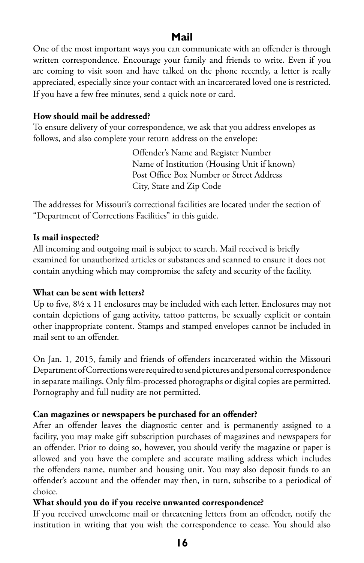## **Mail**

One of the most important ways you can communicate with an offender is through written correspondence. Encourage your family and friends to write. Even if you are coming to visit soon and have talked on the phone recently, a letter is really appreciated, especially since your contact with an incarcerated loved one is restricted. If you have a few free minutes, send a quick note or card.

#### **How should mail be addressed?**

To ensure delivery of your correspondence, we ask that you address envelopes as follows, and also complete your return address on the envelope:

> Offender's Name and Register Number Name of Institution (Housing Unit if known) Post Office Box Number or Street Address City, State and Zip Code

The addresses for Missouri's correctional facilities are located under the section of "Department of Corrections Facilities" in this guide.

#### **Is mail inspected?**

All incoming and outgoing mail is subject to search. Mail received is briefly examined for unauthorized articles or substances and scanned to ensure it does not contain anything which may compromise the safety and security of the facility.

#### **What can be sent with letters?**

Up to five, 8½ x 11 enclosures may be included with each letter. Enclosures may not contain depictions of gang activity, tattoo patterns, be sexually explicit or contain other inappropriate content. Stamps and stamped envelopes cannot be included in mail sent to an offender.

On Jan. 1, 2015, family and friends of offenders incarcerated within the Missouri Department of Corrections were required to send pictures and personal correspondence in separate mailings. Only film-processed photographs or digital copies are permitted. Pornography and full nudity are not permitted.

#### **Can magazines or newspapers be purchased for an offender?**

After an offender leaves the diagnostic center and is permanently assigned to a facility, you may make gift subscription purchases of magazines and newspapers for an offender. Prior to doing so, however, you should verify the magazine or paper is allowed and you have the complete and accurate mailing address which includes the offenders name, number and housing unit. You may also deposit funds to an offender's account and the offender may then, in turn, subscribe to a periodical of choice.

#### **What should you do if you receive unwanted correspondence?**

If you received unwelcome mail or threatening letters from an offender, notify the institution in writing that you wish the correspondence to cease. You should also

**16**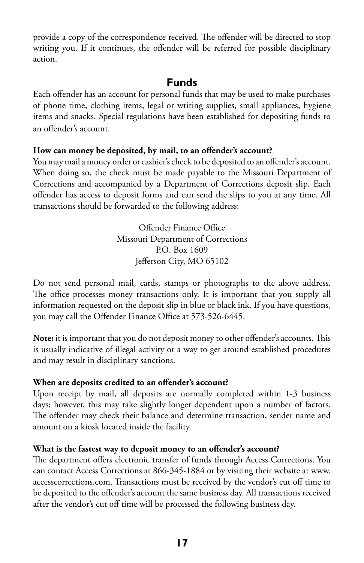provide a copy of the correspondence received. The offender will be directed to stop writing you. If it continues, the offender will be referred for possible disciplinary action.

## **Funds**

Each offender has an account for personal funds that may be used to make purchases of phone time, clothing items, legal or writing supplies, small appliances, hygiene items and snacks. Special regulations have been established for depositing funds to an offender's account.

#### **How can money be deposited, by mail, to an offender's account?**

You may mail a money order or cashier's check to be deposited to an offender's account. When doing so, the check must be made payable to the Missouri Department of Corrections and accompanied by a Department of Corrections deposit slip. Each offender has access to deposit forms and can send the slips to you at any time. All transactions should be forwarded to the following address:

> Offender Finance Office Missouri Department of Corrections P.O. Box 1609 Jefferson City, MO 65102

Do not send personal mail, cards, stamps or photographs to the above address. The office processes money transactions only. It is important that you supply all information requested on the deposit slip in blue or black ink. If you have questions, you may call the Offender Finance Office at 573-526-6445.

**Note:** it is important that you do not deposit money to other offender's accounts. This is usually indicative of illegal activity or a way to get around established procedures and may result in disciplinary sanctions.

#### **When are deposits credited to an offender's account?**

Upon receipt by mail, all deposits are normally completed within 1-3 business days; however, this may take slightly longer dependent upon a number of factors. The offender may check their balance and determine transaction, sender name and amount on a kiosk located inside the facility.

#### **What is the fastest way to deposit money to an offender's account?**

The department offers electronic transfer of funds through Access Corrections. You can contact Access Corrections at 866-345-1884 or by visiting their website at [www.](www.accesscorrections.com) [accesscorrections.com](www.accesscorrections.com). Transactions must be received by the vendor's cut off time to be deposited to the offender's account the same business day. All transactions received after the vendor's cut off time will be processed the following business day.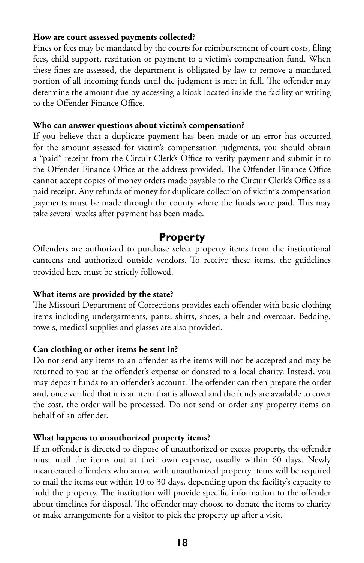#### **How are court assessed payments collected?**

Fines or fees may be mandated by the courts for reimbursement of court costs, filing fees, child support, restitution or payment to a victim's compensation fund. When these fines are assessed, the department is obligated by law to remove a mandated portion of all incoming funds until the judgment is met in full. The offender may determine the amount due by accessing a kiosk located inside the facility or writing to the Offender Finance Office.

#### **Who can answer questions about victim's compensation?**

If you believe that a duplicate payment has been made or an error has occurred for the amount assessed for victim's compensation judgments, you should obtain a "paid" receipt from the Circuit Clerk's Office to verify payment and submit it to the Offender Finance Office at the address provided. The Offender Finance Office cannot accept copies of money orders made payable to the Circuit Clerk's Office as a paid receipt. Any refunds of money for duplicate collection of victim's compensation payments must be made through the county where the funds were paid. This may take several weeks after payment has been made.

#### **Property**

Offenders are authorized to purchase select property items from the institutional canteens and authorized outside vendors. To receive these items, the guidelines provided here must be strictly followed.

#### **What items are provided by the state?**

The Missouri Department of Corrections provides each offender with basic clothing items including undergarments, pants, shirts, shoes, a belt and overcoat. Bedding, towels, medical supplies and glasses are also provided.

#### **Can clothing or other items be sent in?**

Do not send any items to an offender as the items will not be accepted and may be returned to you at the offender's expense or donated to a local charity. Instead, you may deposit funds to an offender's account. The offender can then prepare the order and, once verified that it is an item that is allowed and the funds are available to cover the cost, the order will be processed. Do not send or order any property items on behalf of an offender.

#### **What happens to unauthorized property items?**

If an offender is directed to dispose of unauthorized or excess property, the offender must mail the items out at their own expense, usually within 60 days. Newly incarcerated offenders who arrive with unauthorized property items will be required to mail the items out within 10 to 30 days, depending upon the facility's capacity to hold the property. The institution will provide specific information to the offender about timelines for disposal. The offender may choose to donate the items to charity or make arrangements for a visitor to pick the property up after a visit.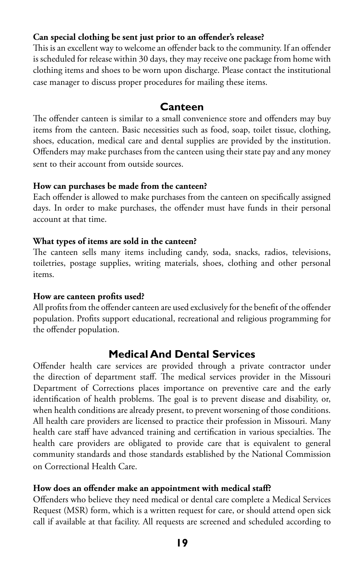#### **Can special clothing be sent just prior to an offender's release?**

This is an excellent way to welcome an offender back to the community. If an offender is scheduled for release within 30 days, they may receive one package from home with clothing items and shoes to be worn upon discharge. Please contact the institutional case manager to discuss proper procedures for mailing these items.

## **Canteen**

The offender canteen is similar to a small convenience store and offenders may buy items from the canteen. Basic necessities such as food, soap, toilet tissue, clothing, shoes, education, medical care and dental supplies are provided by the institution. Offenders may make purchases from the canteen using their state pay and any money sent to their account from outside sources.

#### **How can purchases be made from the canteen?**

Each offender is allowed to make purchases from the canteen on specifically assigned days. In order to make purchases, the offender must have funds in their personal account at that time.

#### **What types of items are sold in the canteen?**

The canteen sells many items including candy, soda, snacks, radios, televisions, toiletries, postage supplies, writing materials, shoes, clothing and other personal items.

#### **How are canteen profits used?**

All profits from the offender canteen are used exclusively for the benefit of the offender population. Profits support educational, recreational and religious programming for the offender population.

# **Medical And Dental Services**

Offender health care services are provided through a private contractor under the direction of department staff. The medical services provider in the Missouri Department of Corrections places importance on preventive care and the early identification of health problems. The goal is to prevent disease and disability, or, when health conditions are already present, to prevent worsening of those conditions. All health care providers are licensed to practice their profession in Missouri. Many health care staff have advanced training and certification in various specialties. The health care providers are obligated to provide care that is equivalent to general community standards and those standards established by the National Commission on Correctional Health Care.

#### **How does an offender make an appointment with medical staff?**

Offenders who believe they need medical or dental care complete a Medical Services Request (MSR) form, which is a written request for care, or should attend open sick call if available at that facility. All requests are screened and scheduled according to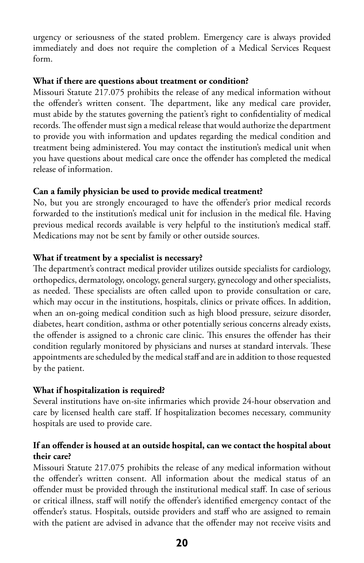urgency or seriousness of the stated problem. Emergency care is always provided immediately and does not require the completion of a Medical Services Request form.

#### **What if there are questions about treatment or condition?**

Missouri Statute 217.075 prohibits the release of any medical information without the offender's written consent. The department, like any medical care provider, must abide by the statutes governing the patient's right to confidentiality of medical records. The offender must sign a medical release that would authorize the department to provide you with information and updates regarding the medical condition and treatment being administered. You may contact the institution's medical unit when you have questions about medical care once the offender has completed the medical release of information.

#### **Can a family physician be used to provide medical treatment?**

No, but you are strongly encouraged to have the offender's prior medical records forwarded to the institution's medical unit for inclusion in the medical file. Having previous medical records available is very helpful to the institution's medical staff. Medications may not be sent by family or other outside sources.

#### **What if treatment by a specialist is necessary?**

The department's contract medical provider utilizes outside specialists for cardiology, orthopedics, dermatology, oncology, general surgery, gynecology and other specialists, as needed. These specialists are often called upon to provide consultation or care, which may occur in the institutions, hospitals, clinics or private offices. In addition, when an on-going medical condition such as high blood pressure, seizure disorder, diabetes, heart condition, asthma or other potentially serious concerns already exists, the offender is assigned to a chronic care clinic. This ensures the offender has their condition regularly monitored by physicians and nurses at standard intervals. These appointments are scheduled by the medical staff and are in addition to those requested by the patient.

#### **What if hospitalization is required?**

Several institutions have on-site infirmaries which provide 24-hour observation and care by licensed health care staff. If hospitalization becomes necessary, community hospitals are used to provide care.

#### **If an offender is housed at an outside hospital, can we contact the hospital about their care?**

Missouri Statute 217.075 prohibits the release of any medical information without the offender's written consent. All information about the medical status of an offender must be provided through the institutional medical staff. In case of serious or critical illness, staff will notify the offender's identified emergency contact of the offender's status. Hospitals, outside providers and staff who are assigned to remain with the patient are advised in advance that the offender may not receive visits and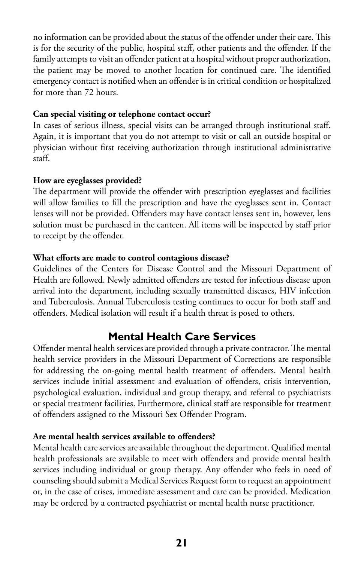no information can be provided about the status of the offender under their care. This is for the security of the public, hospital staff, other patients and the offender. If the family attempts to visit an offender patient at a hospital without proper authorization, the patient may be moved to another location for continued care. The identified emergency contact is notified when an offender is in critical condition or hospitalized for more than 72 hours.

#### **Can special visiting or telephone contact occur?**

In cases of serious illness, special visits can be arranged through institutional staff. Again, it is important that you do not attempt to visit or call an outside hospital or physician without first receiving authorization through institutional administrative staff.

#### **How are eyeglasses provided?**

The department will provide the offender with prescription eyeglasses and facilities will allow families to fill the prescription and have the eyeglasses sent in. Contact lenses will not be provided. Offenders may have contact lenses sent in, however, lens solution must be purchased in the canteen. All items will be inspected by staff prior to receipt by the offender.

#### **What efforts are made to control contagious disease?**

Guidelines of the Centers for Disease Control and the Missouri Department of Health are followed. Newly admitted offenders are tested for infectious disease upon arrival into the department, including sexually transmitted diseases, HIV infection and Tuberculosis. Annual Tuberculosis testing continues to occur for both staff and offenders. Medical isolation will result if a health threat is posed to others.

# **Mental Health Care Services**

Offender mental health services are provided through a private contractor. The mental health service providers in the Missouri Department of Corrections are responsible for addressing the on-going mental health treatment of offenders. Mental health services include initial assessment and evaluation of offenders, crisis intervention, psychological evaluation, individual and group therapy, and referral to psychiatrists or special treatment facilities. Furthermore, clinical staff are responsible for treatment of offenders assigned to the Missouri Sex Offender Program.

#### **Are mental health services available to offenders?**

Mental health care services are available throughout the department. Qualified mental health professionals are available to meet with offenders and provide mental health services including individual or group therapy. Any offender who feels in need of counseling should submit a Medical Services Request form to request an appointment or, in the case of crises, immediate assessment and care can be provided. Medication may be ordered by a contracted psychiatrist or mental health nurse practitioner.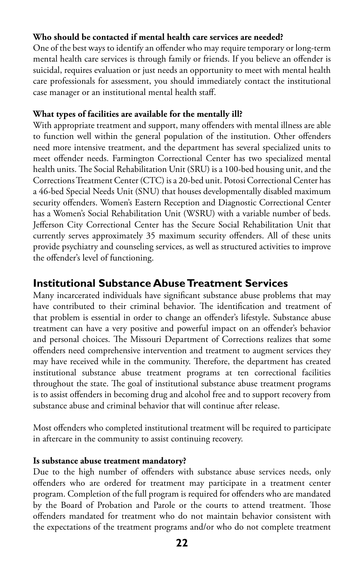#### **Who should be contacted if mental health care services are needed?**

One of the best ways to identify an offender who may require temporary or long-term mental health care services is through family or friends. If you believe an offender is suicidal, requires evaluation or just needs an opportunity to meet with mental health care professionals for assessment, you should immediately contact the institutional case manager or an institutional mental health staff.

#### **What types of facilities are available for the mentally ill?**

With appropriate treatment and support, many offenders with mental illness are able to function well within the general population of the institution. Other offenders need more intensive treatment, and the department has several specialized units to meet offender needs. Farmington Correctional Center has two specialized mental health units. The Social Rehabilitation Unit (SRU) is a 100-bed housing unit, and the Corrections Treatment Center (CTC) is a 20-bed unit. Potosi Correctional Center has a 46-bed Special Needs Unit (SNU) that houses developmentally disabled maximum security offenders. Women's Eastern Reception and Diagnostic Correctional Center has a Women's Social Rehabilitation Unit (WSRU) with a variable number of beds. Jefferson City Correctional Center has the Secure Social Rehabilitation Unit that currently serves approximately 35 maximum security offenders. All of these units provide psychiatry and counseling services, as well as structured activities to improve the offender's level of functioning.

## **Institutional Substance Abuse Treatment Services**

Many incarcerated individuals have significant substance abuse problems that may have contributed to their criminal behavior. The identification and treatment of that problem is essential in order to change an offender's lifestyle. Substance abuse treatment can have a very positive and powerful impact on an offender's behavior and personal choices. The Missouri Department of Corrections realizes that some offenders need comprehensive intervention and treatment to augment services they may have received while in the community. Therefore, the department has created institutional substance abuse treatment programs at ten correctional facilities throughout the state. The goal of institutional substance abuse treatment programs is to assist offenders in becoming drug and alcohol free and to support recovery from substance abuse and criminal behavior that will continue after release.

Most offenders who completed institutional treatment will be required to participate in aftercare in the community to assist continuing recovery.

#### **Is substance abuse treatment mandatory?**

Due to the high number of offenders with substance abuse services needs, only offenders who are ordered for treatment may participate in a treatment center program. Completion of the full program is required for offenders who are mandated by the Board of Probation and Parole or the courts to attend treatment. Those offenders mandated for treatment who do not maintain behavior consistent with the expectations of the treatment programs and/or who do not complete treatment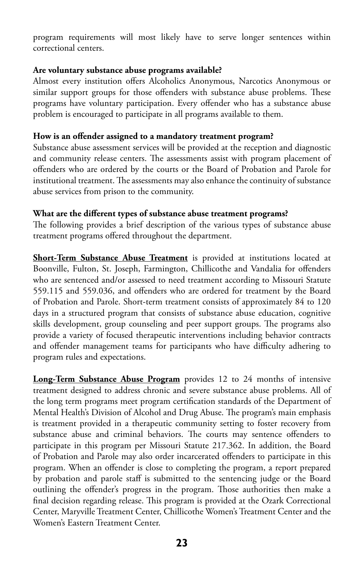program requirements will most likely have to serve longer sentences within correctional centers.

#### **Are voluntary substance abuse programs available?**

Almost every institution offers Alcoholics Anonymous, Narcotics Anonymous or similar support groups for those offenders with substance abuse problems. These programs have voluntary participation. Every offender who has a substance abuse problem is encouraged to participate in all programs available to them.

#### **How is an offender assigned to a mandatory treatment program?**

Substance abuse assessment services will be provided at the reception and diagnostic and community release centers. The assessments assist with program placement of offenders who are ordered by the courts or the Board of Probation and Parole for institutional treatment. The assessments may also enhance the continuity of substance abuse services from prison to the community.

#### **What are the different types of substance abuse treatment programs?**

The following provides a brief description of the various types of substance abuse treatment programs offered throughout the department.

**Short-Term Substance Abuse Treatment** is provided at institutions located at Boonville, Fulton, St. Joseph, Farmington, Chillicothe and Vandalia for offenders who are sentenced and/or assessed to need treatment according to Missouri Statute 559.115 and 559.036, and offenders who are ordered for treatment by the Board of Probation and Parole. Short-term treatment consists of approximately 84 to 120 days in a structured program that consists of substance abuse education, cognitive skills development, group counseling and peer support groups. The programs also provide a variety of focused therapeutic interventions including behavior contracts and offender management teams for participants who have difficulty adhering to program rules and expectations.

**Long-Term Substance Abuse Program** provides 12 to 24 months of intensive treatment designed to address chronic and severe substance abuse problems. All of the long term programs meet program certification standards of the Department of Mental Health's Division of Alcohol and Drug Abuse. The program's main emphasis is treatment provided in a therapeutic community setting to foster recovery from substance abuse and criminal behaviors. The courts may sentence offenders to participate in this program per Missouri Statute 217.362. In addition, the Board of Probation and Parole may also order incarcerated offenders to participate in this program. When an offender is close to completing the program, a report prepared by probation and parole staff is submitted to the sentencing judge or the Board outlining the offender's progress in the program. Those authorities then make a final decision regarding release. This program is provided at the Ozark Correctional Center, Maryville Treatment Center, Chillicothe Women's Treatment Center and the Women's Eastern Treatment Center.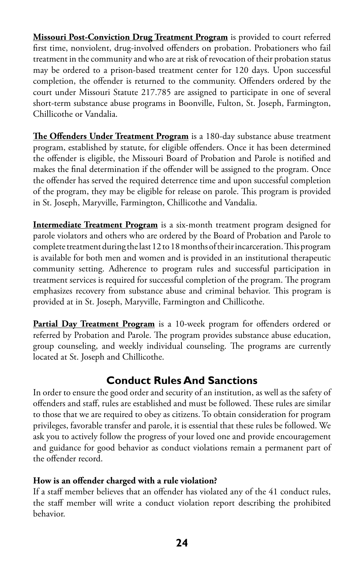**Missouri Post-Conviction Drug Treatment Program** is provided to court referred first time, nonviolent, drug-involved offenders on probation. Probationers who fail treatment in the community and who are at risk of revocation of their probation status may be ordered to a prison-based treatment center for 120 days. Upon successful completion, the offender is returned to the community. Offenders ordered by the court under Missouri Statute 217.785 are assigned to participate in one of several short-term substance abuse programs in Boonville, Fulton, St. Joseph, Farmington, Chillicothe or Vandalia.

**The Offenders Under Treatment Program** is a 180-day substance abuse treatment program, established by statute, for eligible offenders. Once it has been determined the offender is eligible, the Missouri Board of Probation and Parole is notified and makes the final determination if the offender will be assigned to the program. Once the offender has served the required deterrence time and upon successful completion of the program, they may be eligible for release on parole. This program is provided in St. Joseph, Maryville, Farmington, Chillicothe and Vandalia.

**Intermediate Treatment Program** is a six-month treatment program designed for parole violators and others who are ordered by the Board of Probation and Parole to complete treatment during the last 12 to 18 months of their incarceration. This program is available for both men and women and is provided in an institutional therapeutic community setting. Adherence to program rules and successful participation in treatment services is required for successful completion of the program. The program emphasizes recovery from substance abuse and criminal behavior. This program is provided at in St. Joseph, Maryville, Farmington and Chillicothe.

**Partial Day Treatment Program** is a 10-week program for offenders ordered or referred by Probation and Parole. The program provides substance abuse education, group counseling, and weekly individual counseling. The programs are currently located at St. Joseph and Chillicothe.

# **Conduct Rules And Sanctions**

In order to ensure the good order and security of an institution, as well as the safety of offenders and staff, rules are established and must be followed. These rules are similar to those that we are required to obey as citizens. To obtain consideration for program privileges, favorable transfer and parole, it is essential that these rules be followed. We ask you to actively follow the progress of your loved one and provide encouragement and guidance for good behavior as conduct violations remain a permanent part of the offender record.

#### **How is an offender charged with a rule violation?**

If a staff member believes that an offender has violated any of the 41 conduct rules, the staff member will write a conduct violation report describing the prohibited behavior.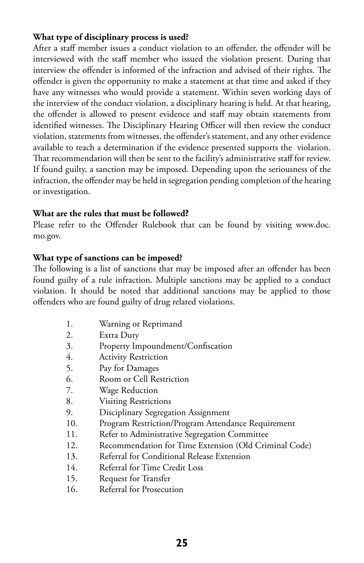#### **What type of disciplinary process is used?**

After a staff member issues a conduct violation to an offender, the offender will be interviewed with the staff member who issued the violation present. During that interview the offender is informed of the infraction and advised of their rights. The offender is given the opportunity to make a statement at that time and asked if they have any witnesses who would provide a statement. Within seven working days of the interview of the conduct violation, a disciplinary hearing is held. At that hearing, the offender is allowed to present evidence and staff may obtain statements from identified witnesses. The Disciplinary Hearing Officer will then review the conduct violation, statements from witnesses, the offender's statement, and any other evidence available to reach a determination if the evidence presented supports the violation. That recommendation will then be sent to the facility's administrative staff for review. If found guilty, a sanction may be imposed. Depending upon the seriousness of the infraction, the offender may be held in segregation pending completion of the hearing or investigation.

#### **What are the rules that must be followed?**

Please refer to the Offender Rulebook that can be found by visiting [www.doc.](www.doc.mo.gov) [mo.gov.](www.doc.mo.gov)

#### **What type of sanctions can be imposed?**

The following is a list of sanctions that may be imposed after an offender has been found guilty of a rule infraction. Multiple sanctions may be applied to a conduct violation. It should be noted that additional sanctions may be applied to those offenders who are found guilty of drug related violations.

- 1. Warning or Reprimand
- 2. Extra Duty
- 3. Property Impoundment/Confiscation
- 4. Activity Restriction
- 5. Pay for Damages
- 6. Room or Cell Restriction
- 7. Wage Reduction
- 8. Visiting Restrictions
- 9. Disciplinary Segregation Assignment
- 10. Program Restriction/Program Attendance Requirement
- 11. Refer to Administrative Segregation Committee
- 12. Recommendation for Time Extension (Old Criminal Code)
- 13. Referral for Conditional Release Extension
- 14. Referral for Time Credit Loss
- 15. Request for Transfer
- 16. Referral for Prosecution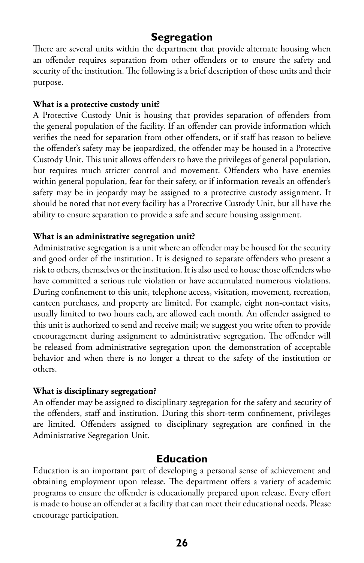# **Segregation**

There are several units within the department that provide alternate housing when an offender requires separation from other offenders or to ensure the safety and security of the institution. The following is a brief description of those units and their purpose.

#### **What is a protective custody unit?**

A Protective Custody Unit is housing that provides separation of offenders from the general population of the facility. If an offender can provide information which verifies the need for separation from other offenders, or if staff has reason to believe the offender's safety may be jeopardized, the offender may be housed in a Protective Custody Unit. This unit allows offenders to have the privileges of general population, but requires much stricter control and movement. Offenders who have enemies within general population, fear for their safety, or if information reveals an offender's safety may be in jeopardy may be assigned to a protective custody assignment. It should be noted that not every facility has a Protective Custody Unit, but all have the ability to ensure separation to provide a safe and secure housing assignment.

#### **What is an administrative segregation unit?**

Administrative segregation is a unit where an offender may be housed for the security and good order of the institution. It is designed to separate offenders who present a risk to others, themselves or the institution. It is also used to house those offenders who have committed a serious rule violation or have accumulated numerous violations. During confinement to this unit, telephone access, visitation, movement, recreation, canteen purchases, and property are limited. For example, eight non-contact visits, usually limited to two hours each, are allowed each month. An offender assigned to this unit is authorized to send and receive mail; we suggest you write often to provide encouragement during assignment to administrative segregation. The offender will be released from administrative segregation upon the demonstration of acceptable behavior and when there is no longer a threat to the safety of the institution or others.

#### **What is disciplinary segregation?**

An offender may be assigned to disciplinary segregation for the safety and security of the offenders, staff and institution. During this short-term confinement, privileges are limited. Offenders assigned to disciplinary segregation are confined in the Administrative Segregation Unit.

## **Education**

Education is an important part of developing a personal sense of achievement and obtaining employment upon release. The department offers a variety of academic programs to ensure the offender is educationally prepared upon release. Every effort is made to house an offender at a facility that can meet their educational needs. Please encourage participation.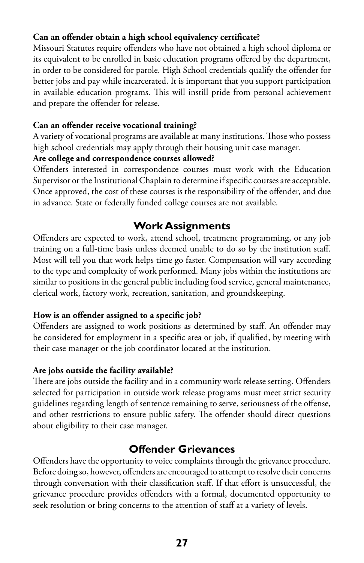#### **Can an offender obtain a high school equivalency certificate?**

Missouri Statutes require offenders who have not obtained a high school diploma or its equivalent to be enrolled in basic education programs offered by the department, in order to be considered for parole. High School credentials qualify the offender for better jobs and pay while incarcerated. It is important that you support participation in available education programs. This will instill pride from personal achievement and prepare the offender for release.

#### **Can an offender receive vocational training?**

A variety of vocational programs are available at many institutions. Those who possess high school credentials may apply through their housing unit case manager.

#### **Are college and correspondence courses allowed?**

Offenders interested in correspondence courses must work with the Education Supervisor or the Institutional Chaplain to determine if specific courses are acceptable. Once approved, the cost of these courses is the responsibility of the offender, and due in advance. State or federally funded college courses are not available.

# **Work Assignments**

Offenders are expected to work, attend school, treatment programming, or any job training on a full-time basis unless deemed unable to do so by the institution staff. Most will tell you that work helps time go faster. Compensation will vary according to the type and complexity of work performed. Many jobs within the institutions are similar to positions in the general public including food service, general maintenance, clerical work, factory work, recreation, sanitation, and groundskeeping.

#### **How is an offender assigned to a specific job?**

Offenders are assigned to work positions as determined by staff. An offender may be considered for employment in a specific area or job, if qualified, by meeting with their case manager or the job coordinator located at the institution.

#### **Are jobs outside the facility available?**

There are jobs outside the facility and in a community work release setting. Offenders selected for participation in outside work release programs must meet strict security guidelines regarding length of sentence remaining to serve, seriousness of the offense, and other restrictions to ensure public safety. The offender should direct questions about eligibility to their case manager.

# **Offender Grievances**

Offenders have the opportunity to voice complaints through the grievance procedure. Before doing so, however, offenders are encouraged to attempt to resolve their concerns through conversation with their classification staff. If that effort is unsuccessful, the grievance procedure provides offenders with a formal, documented opportunity to seek resolution or bring concerns to the attention of staff at a variety of levels.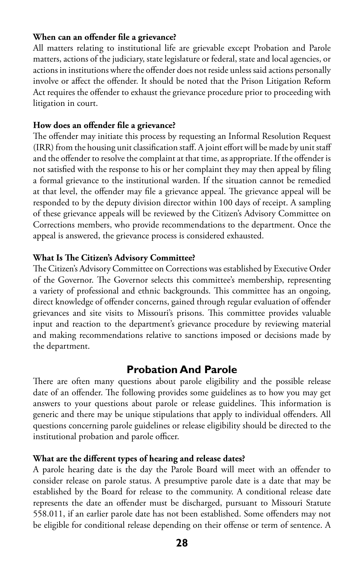#### **When can an offender file a grievance?**

All matters relating to institutional life are grievable except Probation and Parole matters, actions of the judiciary, state legislature or federal, state and local agencies, or actions in institutions where the offender does not reside unless said actions personally involve or affect the offender. It should be noted that the Prison Litigation Reform Act requires the offender to exhaust the grievance procedure prior to proceeding with litigation in court.

#### **How does an offender file a grievance?**

The offender may initiate this process by requesting an Informal Resolution Request (IRR) from the housing unit classification staff. A joint effort will be made by unit staff and the offender to resolve the complaint at that time, as appropriate. If the offender is not satisfied with the response to his or her complaint they may then appeal by filing a formal grievance to the institutional warden. If the situation cannot be remedied at that level, the offender may file a grievance appeal. The grievance appeal will be responded to by the deputy division director within 100 days of receipt. A sampling of these grievance appeals will be reviewed by the Citizen's Advisory Committee on Corrections members, who provide recommendations to the department. Once the appeal is answered, the grievance process is considered exhausted.

#### **What Is The Citizen's Advisory Committee?**

The Citizen's Advisory Committee on Corrections was established by Executive Order of the Governor. The Governor selects this committee's membership, representing a variety of professional and ethnic backgrounds. This committee has an ongoing, direct knowledge of offender concerns, gained through regular evaluation of offender grievances and site visits to Missouri's prisons. This committee provides valuable input and reaction to the department's grievance procedure by reviewing material and making recommendations relative to sanctions imposed or decisions made by the department.

#### **Probation And Parole**

There are often many questions about parole eligibility and the possible release date of an offender. The following provides some guidelines as to how you may get answers to your questions about parole or release guidelines. This information is generic and there may be unique stipulations that apply to individual offenders. All questions concerning parole guidelines or release eligibility should be directed to the institutional probation and parole officer.

#### **What are the different types of hearing and release dates?**

A parole hearing date is the day the Parole Board will meet with an offender to consider release on parole status. A presumptive parole date is a date that may be established by the Board for release to the community. A conditional release date represents the date an offender must be discharged, pursuant to Missouri Statute 558.011, if an earlier parole date has not been established. Some offenders may not be eligible for conditional release depending on their offense or term of sentence. A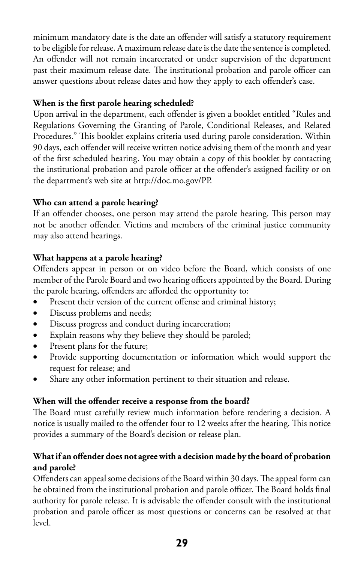minimum mandatory date is the date an offender will satisfy a statutory requirement to be eligible for release. A maximum release date is the date the sentence is completed. An offender will not remain incarcerated or under supervision of the department past their maximum release date. The institutional probation and parole officer can answer questions about release dates and how they apply to each offender's case.

## **When is the first parole hearing scheduled?**

Upon arrival in the department, each offender is given a booklet entitled "Rules and Regulations Governing the Granting of Parole, Conditional Releases, and Related Procedures." This booklet explains criteria used during parole consideration. Within 90 days, each offender will receive written notice advising them of the month and year of the first scheduled hearing. You may obtain a copy of this booklet by contacting the institutional probation and parole officer at the offender's assigned facility or on the department's web site at <http://doc.mo.gov/PP>.

## **Who can attend a parole hearing?**

If an offender chooses, one person may attend the parole hearing. This person may not be another offender. Victims and members of the criminal justice community may also attend hearings.

## **What happens at a parole hearing?**

Offenders appear in person or on video before the Board, which consists of one member of the Parole Board and two hearing officers appointed by the Board. During the parole hearing, offenders are afforded the opportunity to:

- Present their version of the current offense and criminal history;
- • Discuss problems and needs;
- Discuss progress and conduct during incarceration;
- • Explain reasons why they believe they should be paroled;
- Present plans for the future;
- • Provide supporting documentation or information which would support the request for release; and
- Share any other information pertinent to their situation and release.

## **When will the offender receive a response from the board?**

The Board must carefully review much information before rendering a decision. A notice is usually mailed to the offender four to 12 weeks after the hearing. This notice provides a summary of the Board's decision or release plan.

## **What if an offender does not agree with a decision made by the board of probation and parole?**

Offenders can appeal some decisions of the Board within 30 days. The appeal form can be obtained from the institutional probation and parole officer. The Board holds final authority for parole release. It is advisable the offender consult with the institutional probation and parole officer as most questions or concerns can be resolved at that level.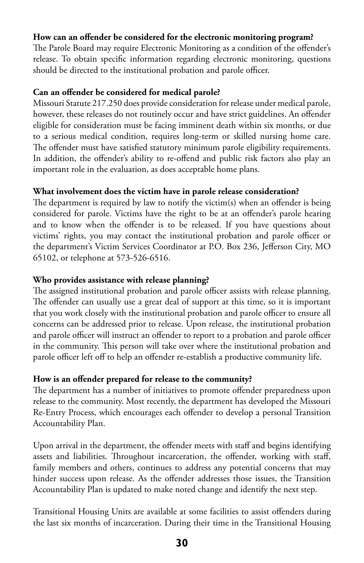#### **How can an offender be considered for the electronic monitoring program?**

The Parole Board may require Electronic Monitoring as a condition of the offender's release. To obtain specific information regarding electronic monitoring, questions should be directed to the institutional probation and parole officer.

#### **Can an offender be considered for medical parole?**

Missouri Statute 217.250 does provide consideration for release under medical parole, however, these releases do not routinely occur and have strict guidelines. An offender eligible for consideration must be facing imminent death within six months, or due to a serious medical condition, requires long-term or skilled nursing home care. The offender must have satisfied statutory minimum parole eligibility requirements. In addition, the offender's ability to re-offend and public risk factors also play an important role in the evaluation, as does acceptable home plans.

#### **What involvement does the victim have in parole release consideration?**

The department is required by law to notify the victim(s) when an offender is being considered for parole. Victims have the right to be at an offender's parole hearing and to know when the offender is to be released. If you have questions about victims' rights, you may contact the institutional probation and parole officer or the department's Victim Services Coordinator at P.O. Box 236, Jefferson City, MO 65102, or telephone at 573-526-6516.

#### **Who provides assistance with release planning?**

The assigned institutional probation and parole officer assists with release planning. The offender can usually use a great deal of support at this time, so it is important that you work closely with the institutional probation and parole officer to ensure all concerns can be addressed prior to release. Upon release, the institutional probation and parole officer will instruct an offender to report to a probation and parole officer in the community. This person will take over where the institutional probation and parole officer left off to help an offender re-establish a productive community life.

#### **How is an offender prepared for release to the community?**

The department has a number of initiatives to promote offender preparedness upon release to the community. Most recently, the department has developed the Missouri Re-Entry Process, which encourages each offender to develop a personal Transition Accountability Plan.

Upon arrival in the department, the offender meets with staff and begins identifying assets and liabilities. Throughout incarceration, the offender, working with staff, family members and others, continues to address any potential concerns that may hinder success upon release. As the offender addresses those issues, the Transition Accountability Plan is updated to make noted change and identify the next step.

Transitional Housing Units are available at some facilities to assist offenders during the last six months of incarceration. During their time in the Transitional Housing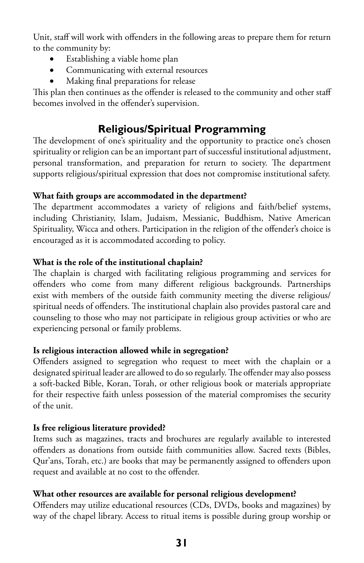Unit, staff will work with offenders in the following areas to prepare them for return to the community by:

- Establishing a viable home plan
- Communicating with external resources
- Making final preparations for release

This plan then continues as the offender is released to the community and other staff becomes involved in the offender's supervision.

# **Religious/Spiritual Programming**

The development of one's spirituality and the opportunity to practice one's chosen spirituality or religion can be an important part of successful institutional adjustment, personal transformation, and preparation for return to society. The department supports religious/spiritual expression that does not compromise institutional safety.

#### **What faith groups are accommodated in the department?**

The department accommodates a variety of religions and faith/belief systems, including Christianity, Islam, Judaism, Messianic, Buddhism, Native American Spirituality, Wicca and others. Participation in the religion of the offender's choice is encouraged as it is accommodated according to policy.

#### **What is the role of the institutional chaplain?**

The chaplain is charged with facilitating religious programming and services for offenders who come from many different religious backgrounds. Partnerships exist with members of the outside faith community meeting the diverse religious/ spiritual needs of offenders. The institutional chaplain also provides pastoral care and counseling to those who may not participate in religious group activities or who are experiencing personal or family problems.

#### **Is religious interaction allowed while in segregation?**

Offenders assigned to segregation who request to meet with the chaplain or a designated spiritual leader are allowed to do so regularly. The offender may also possess a soft-backed Bible, Koran, Torah, or other religious book or materials appropriate for their respective faith unless possession of the material compromises the security of the unit.

#### **Is free religious literature provided?**

Items such as magazines, tracts and brochures are regularly available to interested offenders as donations from outside faith communities allow. Sacred texts (Bibles, Qur'ans, Torah, etc.) are books that may be permanently assigned to offenders upon request and available at no cost to the offender.

#### **What other resources are available for personal religious development?**

Offenders may utilize educational resources (CDs, DVDs, books and magazines) by way of the chapel library. Access to ritual items is possible during group worship or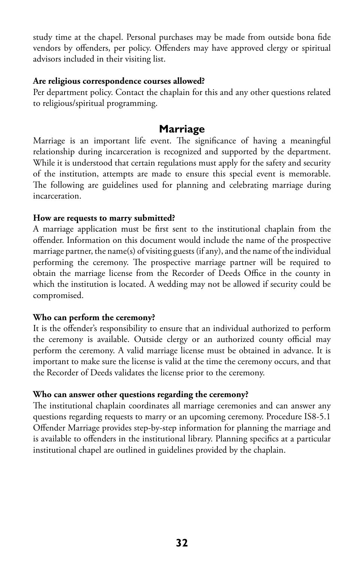study time at the chapel. Personal purchases may be made from outside bona fide vendors by offenders, per policy. Offenders may have approved clergy or spiritual advisors included in their visiting list.

#### **Are religious correspondence courses allowed?**

Per department policy. Contact the chaplain for this and any other questions related to religious/spiritual programming.

## **Marriage**

Marriage is an important life event. The significance of having a meaningful relationship during incarceration is recognized and supported by the department. While it is understood that certain regulations must apply for the safety and security of the institution, attempts are made to ensure this special event is memorable. The following are guidelines used for planning and celebrating marriage during incarceration.

#### **How are requests to marry submitted?**

A marriage application must be first sent to the institutional chaplain from the offender. Information on this document would include the name of the prospective marriage partner, the name(s) of visiting guests (if any), and the name of the individual performing the ceremony. The prospective marriage partner will be required to obtain the marriage license from the Recorder of Deeds Office in the county in which the institution is located. A wedding may not be allowed if security could be compromised.

#### **Who can perform the ceremony?**

It is the offender's responsibility to ensure that an individual authorized to perform the ceremony is available. Outside clergy or an authorized county official may perform the ceremony. A valid marriage license must be obtained in advance. It is important to make sure the license is valid at the time the ceremony occurs, and that the Recorder of Deeds validates the license prior to the ceremony.

#### **Who can answer other questions regarding the ceremony?**

The institutional chaplain coordinates all marriage ceremonies and can answer any questions regarding requests to marry or an upcoming ceremony. Procedure IS8-5.1 Offender Marriage provides step-by-step information for planning the marriage and is available to offenders in the institutional library. Planning specifics at a particular institutional chapel are outlined in guidelines provided by the chaplain.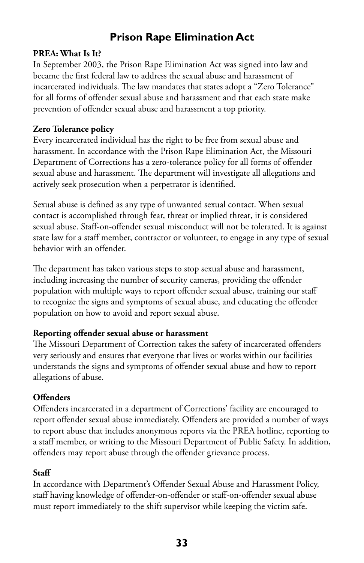# **Prison Rape Elimination Act**

#### **PREA: What Is It?**

In September 2003, the Prison Rape Elimination Act was signed into law and became the first federal law to address the sexual abuse and harassment of incarcerated individuals. The law mandates that states adopt a "Zero Tolerance" for all forms of offender sexual abuse and harassment and that each state make prevention of offender sexual abuse and harassment a top priority.

#### **Zero Tolerance policy**

Every incarcerated individual has the right to be free from sexual abuse and harassment. In accordance with the Prison Rape Elimination Act, the Missouri Department of Corrections has a zero-tolerance policy for all forms of offender sexual abuse and harassment. The department will investigate all allegations and actively seek prosecution when a perpetrator is identified.

Sexual abuse is defined as any type of unwanted sexual contact. When sexual contact is accomplished through fear, threat or implied threat, it is considered sexual abuse. Staff-on-offender sexual misconduct will not be tolerated. It is against state law for a staff member, contractor or volunteer, to engage in any type of sexual behavior with an offender.

The department has taken various steps to stop sexual abuse and harassment, including increasing the number of security cameras, providing the offender population with multiple ways to report offender sexual abuse, training our staff to recognize the signs and symptoms of sexual abuse, and educating the offender population on how to avoid and report sexual abuse.

#### **Reporting offender sexual abuse or harassment**

The Missouri Department of Correction takes the safety of incarcerated offenders very seriously and ensures that everyone that lives or works within our facilities understands the signs and symptoms of offender sexual abuse and how to report allegations of abuse.

#### **Offenders**

Offenders incarcerated in a department of Corrections' facility are encouraged to report offender sexual abuse immediately. Offenders are provided a number of ways to report abuse that includes anonymous reports via the PREA hotline, reporting to a staff member, or writing to the Missouri Department of Public Safety. In addition, offenders may report abuse through the offender grievance process.

#### **Staff**

In accordance with Department's Offender Sexual Abuse and Harassment Policy, staff having knowledge of offender-on-offender or staff-on-offender sexual abuse must report immediately to the shift supervisor while keeping the victim safe.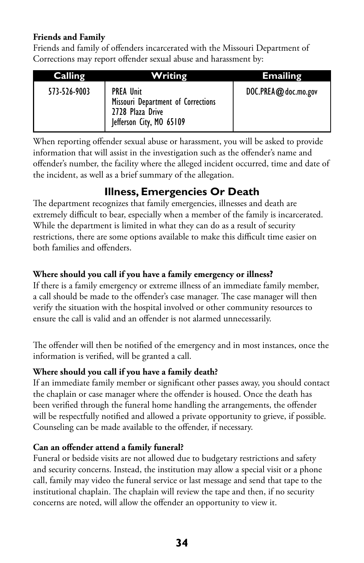#### **Friends and Family**

Friends and family of offenders incarcerated with the Missouri Department of Corrections may report offender sexual abuse and harassment by:

| Calling      | Writing                                                                                                | <b>Emailing</b>      |
|--------------|--------------------------------------------------------------------------------------------------------|----------------------|
| 573-526-9003 | <b>PREA Unit</b><br>Missouri Department of Corrections<br>2728 Plaza Drive<br>Jefferson City, MO 65109 | DOC.PREA@ doc.mo.gov |

When reporting offender sexual abuse or harassment, you will be asked to provide information that will assist in the investigation such as the offender's name and offender's number, the facility where the alleged incident occurred, time and date of the incident, as well as a brief summary of the allegation.

# **Illness, Emergencies Or Death**

The department recognizes that family emergencies, illnesses and death are extremely difficult to bear, especially when a member of the family is incarcerated. While the department is limited in what they can do as a result of security restrictions, there are some options available to make this difficult time easier on both families and offenders.

## **Where should you call if you have a family emergency or illness?**

If there is a family emergency or extreme illness of an immediate family member, a call should be made to the offender's case manager. The case manager will then verify the situation with the hospital involved or other community resources to ensure the call is valid and an offender is not alarmed unnecessarily.

The offender will then be notified of the emergency and in most instances, once the information is verified, will be granted a call.

## **Where should you call if you have a family death?**

If an immediate family member or significant other passes away, you should contact the chaplain or case manager where the offender is housed. Once the death has been verified through the funeral home handling the arrangements, the offender will be respectfully notified and allowed a private opportunity to grieve, if possible. Counseling can be made available to the offender, if necessary.

#### **Can an offender attend a family funeral?**

Funeral or bedside visits are not allowed due to budgetary restrictions and safety and security concerns. Instead, the institution may allow a special visit or a phone call, family may video the funeral service or last message and send that tape to the institutional chaplain. The chaplain will review the tape and then, if no security concerns are noted, will allow the offender an opportunity to view it.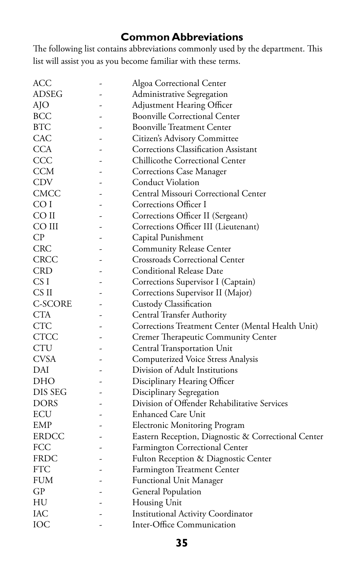# **Common Abbreviations**

The following list contains abbreviations commonly used by the department. This list will assist you as you become familiar with these terms.

| ACC             | Algoa Correctional Center                           |
|-----------------|-----------------------------------------------------|
| <b>ADSEG</b>    | Administrative Segregation                          |
| AJO             | <b>Adjustment Hearing Officer</b>                   |
| BCC             | <b>Boonville Correctional Center</b>                |
| <b>BTC</b>      | <b>Boonville Treatment Center</b>                   |
| <b>CAC</b>      | Citizen's Advisory Committee                        |
| <b>CCA</b>      | <b>Corrections Classification Assistant</b>         |
| CCC             | Chillicothe Correctional Center                     |
| CCM             | Corrections Case Manager                            |
| <b>CDV</b>      | <b>Conduct Violation</b>                            |
| <b>CMCC</b>     | Central Missouri Correctional Center                |
| CO I            | Corrections Officer I                               |
| CO II           | Corrections Officer II (Sergeant)                   |
| CO III          | Corrections Officer III (Lieutenant)                |
| CP              | Capital Punishment                                  |
| <b>CRC</b>      | <b>Community Release Center</b>                     |
| <b>CRCC</b>     | <b>Crossroads Correctional Center</b>               |
| <b>CRD</b>      | <b>Conditional Release Date</b>                     |
| CS <sub>I</sub> | Corrections Supervisor I (Captain)                  |
| CS II           | Corrections Supervisor II (Major)                   |
| C-SCORE         | Custody Classification                              |
| CTA             | <b>Central Transfer Authority</b>                   |
| <b>CTC</b>      | Corrections Treatment Center (Mental Health Unit)   |
| <b>CTCC</b>     | Cremer Therapeutic Community Center                 |
| <b>CTU</b>      | Central Transportation Unit                         |
| <b>CVSA</b>     | Computerized Voice Stress Analysis                  |
| DAI             | Division of Adult Institutions                      |
| DHO             | Disciplinary Hearing Officer                        |
| DIS SEG         | Disciplinary Segregation                            |
| DORS            | Division of Offender Rehabilitative Services        |
| ECU             | <b>Enhanced Care Unit</b>                           |
| EMP             | <b>Electronic Monitoring Program</b>                |
| ERDCC           | Eastern Reception, Diagnostic & Correctional Center |
| FCC             | Farmington Correctional Center                      |
| FRDC            | Fulton Reception & Diagnostic Center                |
| <b>FTC</b>      | Farmington Treatment Center                         |
| <b>FUM</b>      | <b>Functional Unit Manager</b>                      |
| GP              | <b>General Population</b>                           |
| HU              | Housing Unit                                        |
| IAC             | <b>Institutional Activity Coordinator</b>           |
| IOC             | Inter-Office Communication                          |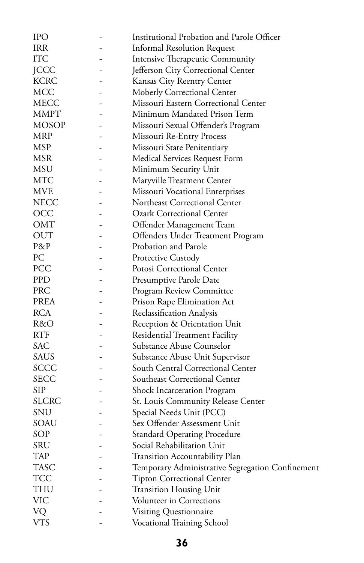| <b>IPO</b>   | Institutional Probation and Parole Officer       |
|--------------|--------------------------------------------------|
| <b>IRR</b>   | <b>Informal Resolution Request</b>               |
| ITC          | Intensive Therapeutic Community                  |
| <b>JCCC</b>  | Jefferson City Correctional Center               |
| <b>KCRC</b>  | Kansas City Reentry Center                       |
| MCC          | Moberly Correctional Center                      |
| MECC         | Missouri Eastern Correctional Center             |
| MMPT         | Minimum Mandated Prison Term                     |
| <b>MOSOP</b> | Missouri Sexual Offender's Program               |
| <b>MRP</b>   | Missouri Re-Entry Process                        |
| <b>MSP</b>   | Missouri State Penitentiary                      |
| <b>MSR</b>   | Medical Services Request Form                    |
| MSU          | Minimum Security Unit                            |
| MTC          | Maryville Treatment Center                       |
| <b>MVE</b>   | Missouri Vocational Enterprises                  |
| <b>NECC</b>  | Northeast Correctional Center                    |
| OCC          | <b>Ozark Correctional Center</b>                 |
| OMT          | Offender Management Team                         |
| <b>OUT</b>   | Offenders Under Treatment Program                |
| P&P          | Probation and Parole                             |
| PC           | Protective Custody                               |
| PCC          | Potosi Correctional Center                       |
| <b>PPD</b>   | Presumptive Parole Date                          |
| PRC          | Program Review Committee                         |
| <b>PREA</b>  | Prison Rape Elimination Act                      |
| <b>RCA</b>   | Reclassification Analysis                        |
| R&O          | Reception & Orientation Unit                     |
| <b>RTF</b>   | Residential Treatment Facility                   |
| <b>SAC</b>   | Substance Abuse Counselor                        |
| <b>SAUS</b>  | Substance Abuse Unit Supervisor                  |
| SCCC         | South Central Correctional Center                |
| SECC         | Southeast Correctional Center                    |
| SIP          | Shock Incarceration Program                      |
| SLCRC        | St. Louis Community Release Center               |
| SNU          | Special Needs Unit (PCC)                         |
| SOAU         | Sex Offender Assessment Unit                     |
| SOP          | <b>Standard Operating Procedure</b>              |
| SRU          | Social Rehabilitation Unit                       |
| <b>TAP</b>   | Transition Accountability Plan                   |
| TASC         | Temporary Administrative Segregation Confinement |
| TCC          | <b>Tipton Correctional Center</b>                |
| THU          | <b>Transition Housing Unit</b>                   |
| VIC          | Volunteer in Corrections                         |
| VQ           | Visiting Questionnaire                           |
| <b>VTS</b>   | Vocational Training School                       |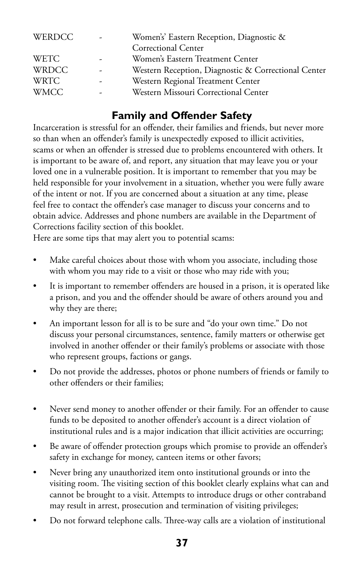| <b>WERDCC</b> | $\overline{\phantom{a}}$ | Women's' Eastern Reception, Diagnostic &            |
|---------------|--------------------------|-----------------------------------------------------|
|               |                          | Correctional Center                                 |
| <b>WETC</b>   | ۰                        | Women's Eastern Treatment Center                    |
| <b>WRDCC</b>  | ۰                        | Western Reception, Diagnostic & Correctional Center |
| <b>WRTC</b>   |                          | Western Regional Treatment Center                   |
| <b>WMCC</b>   |                          | Western Missouri Correctional Center                |

# **Family and Offender Safety**

Incarceration is stressful for an offender, their families and friends, but never more so than when an offender's family is unexpectedly exposed to illicit activities, scams or when an offender is stressed due to problems encountered with others. It is important to be aware of, and report, any situation that may leave you or your loved one in a vulnerable position. It is important to remember that you may be held responsible for your involvement in a situation, whether you were fully aware of the intent or not. If you are concerned about a situation at any time, please feel free to contact the offender's case manager to discuss your concerns and to obtain advice. Addresses and phone numbers are available in the Department of Corrections facility section of this booklet.

Here are some tips that may alert you to potential scams:

- Make careful choices about those with whom you associate, including those with whom you may ride to a visit or those who may ride with you;
- It is important to remember offenders are housed in a prison, it is operated like a prison, and you and the offender should be aware of others around you and why they are there;
- An important lesson for all is to be sure and "do your own time." Do not discuss your personal circumstances, sentence, family matters or otherwise get involved in another offender or their family's problems or associate with those who represent groups, factions or gangs.
- Do not provide the addresses, photos or phone numbers of friends or family to other offenders or their families;
- Never send money to another offender or their family. For an offender to cause funds to be deposited to another offender's account is a direct violation of institutional rules and is a major indication that illicit activities are occurring;
- Be aware of offender protection groups which promise to provide an offender's safety in exchange for money, canteen items or other favors;
- Never bring any unauthorized item onto institutional grounds or into the visiting room. The visiting section of this booklet clearly explains what can and cannot be brought to a visit. Attempts to introduce drugs or other contraband may result in arrest, prosecution and termination of visiting privileges;
- Do not forward telephone calls. Three-way calls are a violation of institutional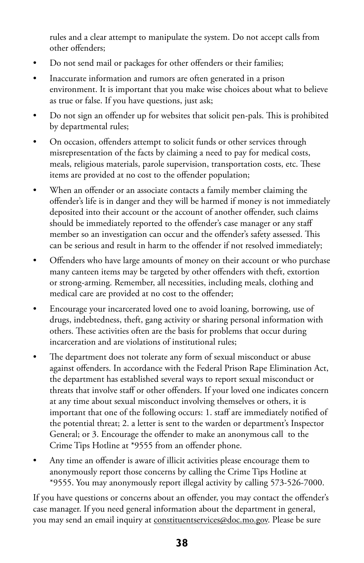rules and a clear attempt to manipulate the system. Do not accept calls from other offenders;

- Do not send mail or packages for other offenders or their families;
- Inaccurate information and rumors are often generated in a prison environment. It is important that you make wise choices about what to believe as true or false. If you have questions, just ask;
- Do not sign an offender up for websites that solicit pen-pals. This is prohibited by departmental rules;
- On occasion, offenders attempt to solicit funds or other services through misrepresentation of the facts by claiming a need to pay for medical costs, meals, religious materials, parole supervision, transportation costs, etc. These items are provided at no cost to the offender population;
- When an offender or an associate contacts a family member claiming the offender's life is in danger and they will be harmed if money is not immediately deposited into their account or the account of another offender, such claims should be immediately reported to the offender's case manager or any staff member so an investigation can occur and the offender's safety assessed. This can be serious and result in harm to the offender if not resolved immediately;
- Offenders who have large amounts of money on their account or who purchase many canteen items may be targeted by other offenders with theft, extortion or strong-arming. Remember, all necessities, including meals, clothing and medical care are provided at no cost to the offender;
- Encourage your incarcerated loved one to avoid loaning, borrowing, use of drugs, indebtedness, theft, gang activity or sharing personal information with others. These activities often are the basis for problems that occur during incarceration and are violations of institutional rules;
- The department does not tolerate any form of sexual misconduct or abuse against offenders. In accordance with the Federal Prison Rape Elimination Act, the department has established several ways to report sexual misconduct or threats that involve staff or other offenders. If your loved one indicates concern at any time about sexual misconduct involving themselves or others, it is important that one of the following occurs: 1. staff are immediately notified of the potential threat; 2. a letter is sent to the warden or department's Inspector General; or 3. Encourage the offender to make an anonymous call to the Crime Tips Hotline at \*9555 from an offender phone.
- Any time an offender is aware of illicit activities please encourage them to anonymously report those concerns by calling the Crime Tips Hotline at \*9555. You may anonymously report illegal activity by calling 573-526-7000.

If you have questions or concerns about an offender, you may contact the offender's case manager. If you need general information about the department in general, you may send an email inquiry at [constituentservices@doc.mo.gov](mailto:constituentservices@doc.mo.gov). Please be sure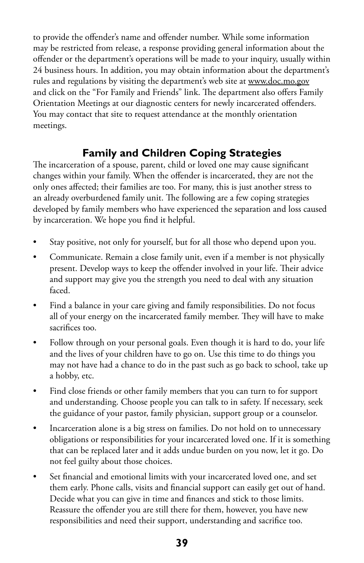to provide the offender's name and offender number. While some information may be restricted from release, a response providing general information about the offender or the department's operations will be made to your inquiry, usually within 24 business hours. In addition, you may obtain information about the department's rules and regulations by visiting the department's web site at<www.doc.mo.gov> and click on the "For Family and Friends" link. The department also offers Family Orientation Meetings at our diagnostic centers for newly incarcerated offenders. You may contact that site to request attendance at the monthly orientation meetings.

# **Family and Children Coping Strategies**

The incarceration of a spouse, parent, child or loved one may cause significant changes within your family. When the offender is incarcerated, they are not the only ones affected; their families are too. For many, this is just another stress to an already overburdened family unit. The following are a few coping strategies developed by family members who have experienced the separation and loss caused by incarceration. We hope you find it helpful.

- Stay positive, not only for yourself, but for all those who depend upon you.
- Communicate. Remain a close family unit, even if a member is not physically present. Develop ways to keep the offender involved in your life. Their advice and support may give you the strength you need to deal with any situation faced.
- Find a balance in your care giving and family responsibilities. Do not focus all of your energy on the incarcerated family member. They will have to make sacrifices too.
- Follow through on your personal goals. Even though it is hard to do, your life and the lives of your children have to go on. Use this time to do things you may not have had a chance to do in the past such as go back to school, take up a hobby, etc.
- Find close friends or other family members that you can turn to for support and understanding. Choose people you can talk to in safety. If necessary, seek the guidance of your pastor, family physician, support group or a counselor.
- Incarceration alone is a big stress on families. Do not hold on to unnecessary obligations or responsibilities for your incarcerated loved one. If it is something that can be replaced later and it adds undue burden on you now, let it go. Do not feel guilty about those choices.
- Set financial and emotional limits with your incarcerated loved one, and set them early. Phone calls, visits and financial support can easily get out of hand. Decide what you can give in time and finances and stick to those limits. Reassure the offender you are still there for them, however, you have new responsibilities and need their support, understanding and sacrifice too.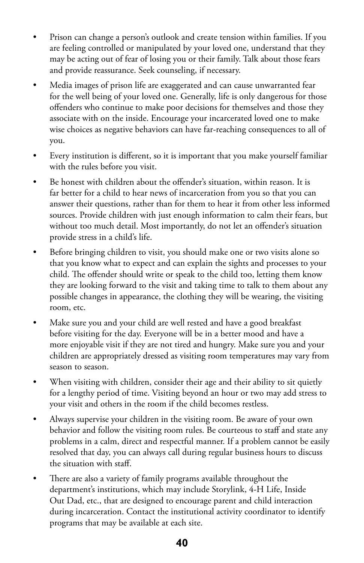- Prison can change a person's outlook and create tension within families. If you are feeling controlled or manipulated by your loved one, understand that they may be acting out of fear of losing you or their family. Talk about those fears and provide reassurance. Seek counseling, if necessary.
- Media images of prison life are exaggerated and can cause unwarranted fear for the well being of your loved one. Generally, life is only dangerous for those offenders who continue to make poor decisions for themselves and those they associate with on the inside. Encourage your incarcerated loved one to make wise choices as negative behaviors can have far-reaching consequences to all of you.
- Every institution is different, so it is important that you make yourself familiar with the rules before you visit.
- Be honest with children about the offender's situation, within reason. It is far better for a child to hear news of incarceration from you so that you can answer their questions, rather than for them to hear it from other less informed sources. Provide children with just enough information to calm their fears, but without too much detail. Most importantly, do not let an offender's situation provide stress in a child's life.
- Before bringing children to visit, you should make one or two visits alone so that you know what to expect and can explain the sights and processes to your child. The offender should write or speak to the child too, letting them know they are looking forward to the visit and taking time to talk to them about any possible changes in appearance, the clothing they will be wearing, the visiting room, etc.
- Make sure you and your child are well rested and have a good breakfast before visiting for the day. Everyone will be in a better mood and have a more enjoyable visit if they are not tired and hungry. Make sure you and your children are appropriately dressed as visiting room temperatures may vary from season to season.
- When visiting with children, consider their age and their ability to sit quietly for a lengthy period of time. Visiting beyond an hour or two may add stress to your visit and others in the room if the child becomes restless.
- Always supervise your children in the visiting room. Be aware of your own behavior and follow the visiting room rules. Be courteous to staff and state any problems in a calm, direct and respectful manner. If a problem cannot be easily resolved that day, you can always call during regular business hours to discuss the situation with staff.
- There are also a variety of family programs available throughout the department's institutions, which may include Storylink, 4-H Life, Inside Out Dad, etc., that are designed to encourage parent and child interaction during incarceration. Contact the institutional activity coordinator to identify programs that may be available at each site.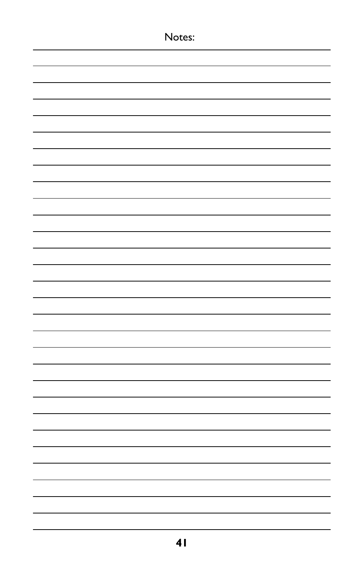| Notes: |  |
|--------|--|
|        |  |
|        |  |
|        |  |
|        |  |
|        |  |
|        |  |
|        |  |
|        |  |
|        |  |
|        |  |
|        |  |
|        |  |
|        |  |
|        |  |
|        |  |
|        |  |
|        |  |
|        |  |
|        |  |
|        |  |
|        |  |
|        |  |
|        |  |
|        |  |
|        |  |
|        |  |
|        |  |
|        |  |
|        |  |
|        |  |
|        |  |
|        |  |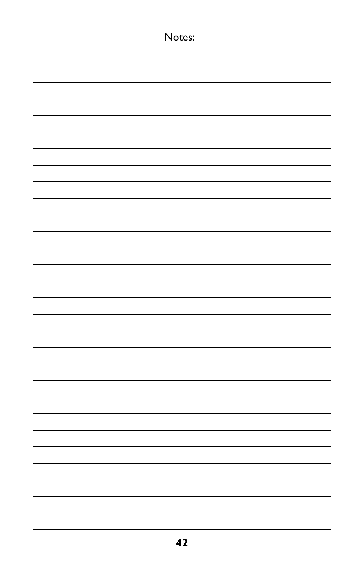| Notes: |
|--------|
|        |
|        |
|        |
|        |
|        |
|        |
|        |
|        |
|        |
|        |
|        |
|        |
|        |
|        |
|        |
|        |
|        |
|        |
|        |
|        |
|        |
|        |
|        |
|        |
|        |
|        |
|        |
|        |
|        |
|        |
|        |
|        |
|        |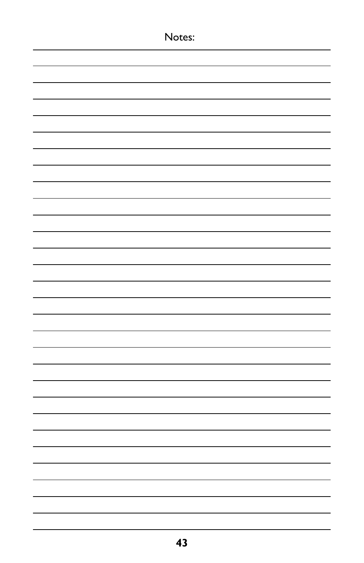| Notes: |
|--------|
|        |
|        |
|        |
|        |
|        |
|        |
|        |
|        |
|        |
|        |
|        |
|        |
|        |
|        |
|        |
|        |
|        |
|        |
|        |
|        |
|        |
|        |
|        |
|        |
|        |
|        |
|        |
|        |
|        |
|        |
|        |
|        |
|        |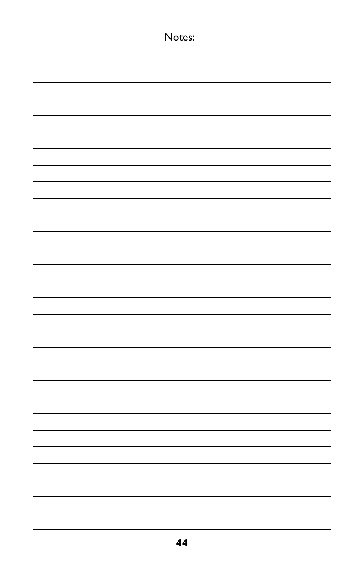| Notes: |
|--------|
|        |
|        |
|        |
|        |
|        |
|        |
|        |
|        |
|        |
|        |
|        |
|        |
|        |
|        |
|        |
|        |
|        |
|        |
|        |
|        |
|        |
|        |
|        |
|        |
|        |
|        |
|        |
|        |
|        |
|        |
|        |
|        |
|        |
|        |